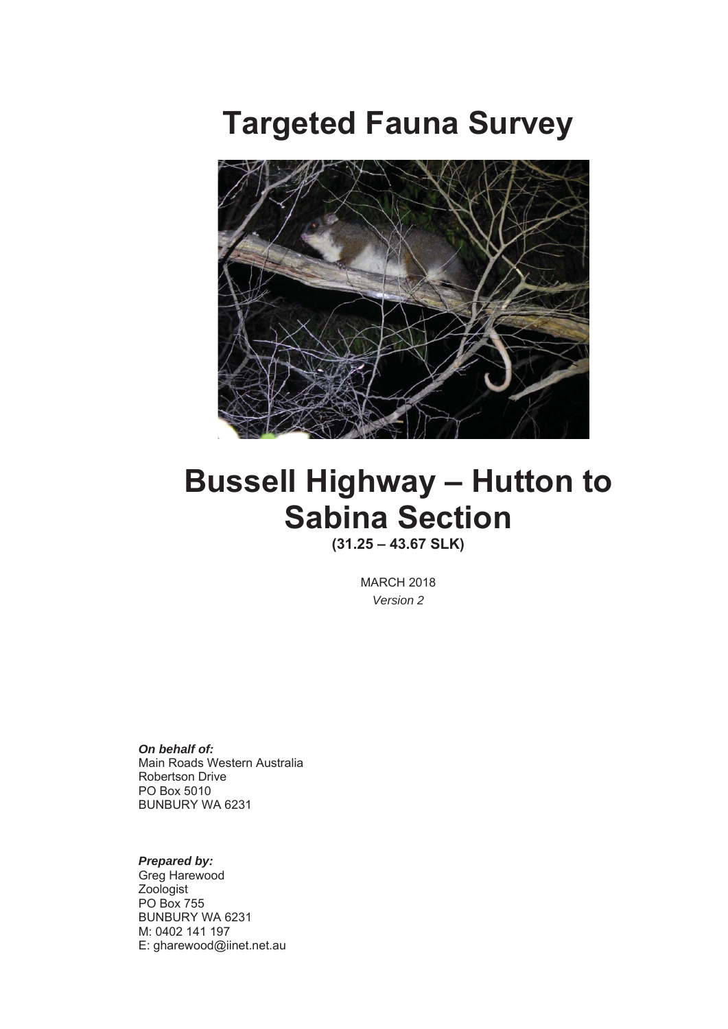# **Targeted Fauna Survey**



# **Bussell Highway – Hutton to Sabina Section**

**(31.25 – 43.67 SLK)**

MARCH 2018 *Version 2* 

*On behalf of:*  Main Roads Western Australia Robertson Drive PO Box 5010 BUNBURY WA 6231

#### *Prepared by:*

Greg Harewood Zoologist PO Box 755 BUNBURY WA 6231 M: 0402 141 197 E: gharewood@iinet.net.au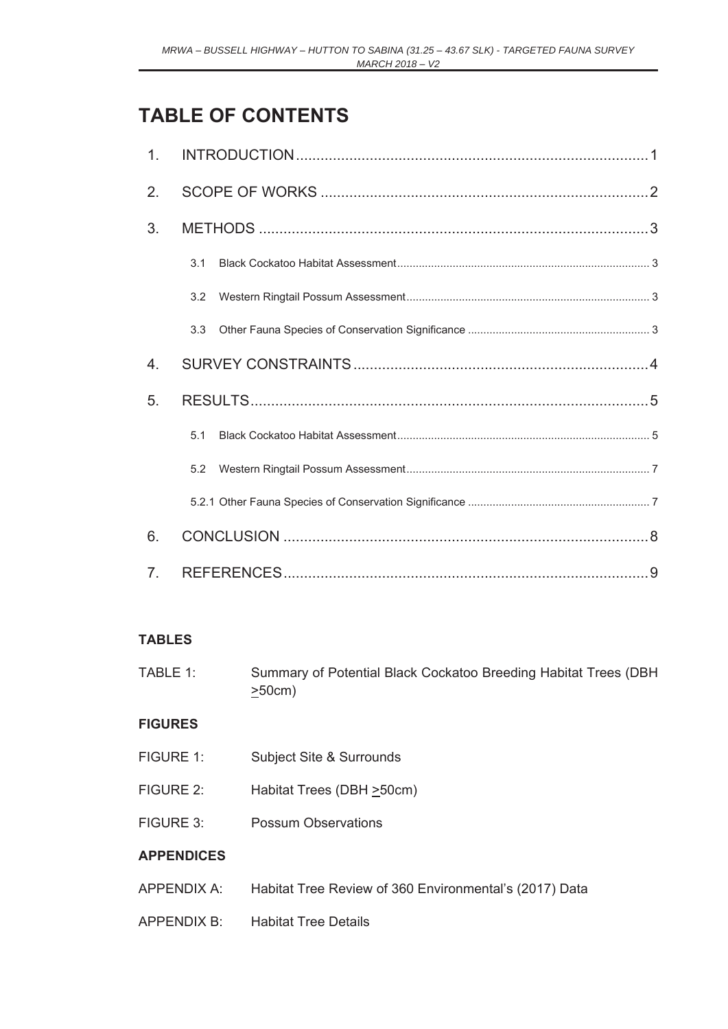# **TABLE OF CONTENTS**

| 1.               |     |  |
|------------------|-----|--|
| 2.               |     |  |
| 3.               |     |  |
|                  | 3.1 |  |
|                  | 3.2 |  |
|                  | 3.3 |  |
| $\overline{4}$ . |     |  |
| 5.               |     |  |
|                  | 5.1 |  |
|                  | 5.2 |  |
|                  |     |  |
| 6.               |     |  |
|                  |     |  |

### **TABLES**

TABLE 1: Summary of Potential Black Cockatoo Breeding Habitat Trees (DBH  $\geq$ 50cm)

### **FIGURES**

- FIGURE 1: Subject Site & Surrounds
- FIGURE 2: Habitat Trees (DBH  $\geq$ 50cm)
- FIGURE 3: Possum Observations

### **APPENDICES**

- APPENDIX A: Habitat Tree Review of 360 Environmental's (2017) Data
- APPENDIX B: Habitat Tree Details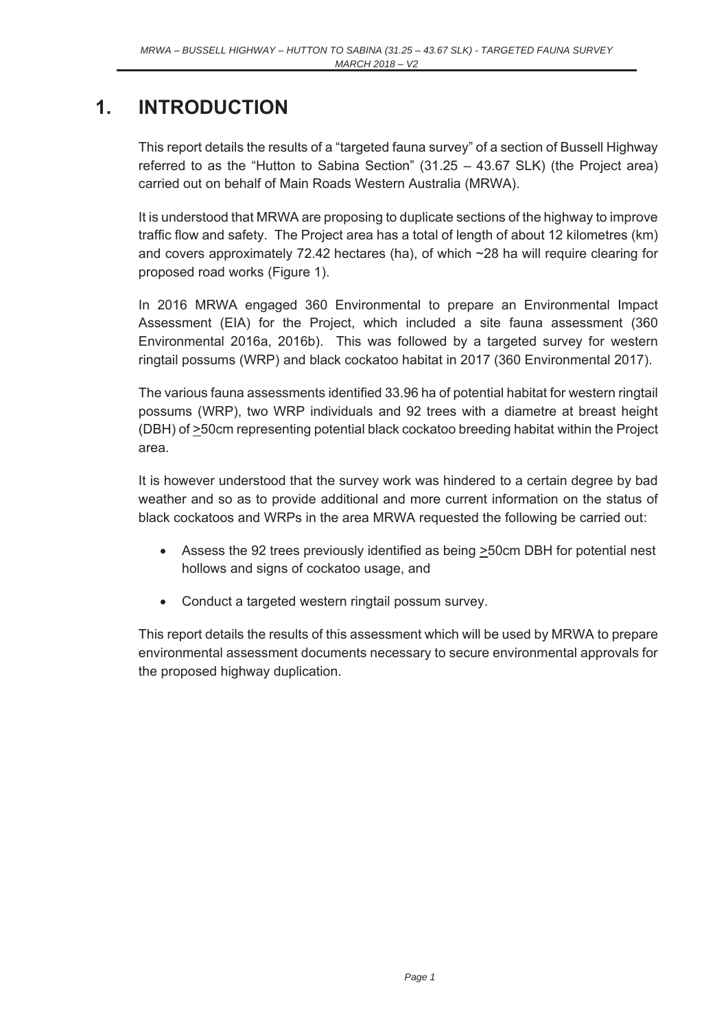## **1. INTRODUCTION**

This report details the results of a "targeted fauna survey" of a section of Bussell Highway referred to as the "Hutton to Sabina Section" (31.25 – 43.67 SLK) (the Project area) carried out on behalf of Main Roads Western Australia (MRWA).

It is understood that MRWA are proposing to duplicate sections of the highway to improve traffic flow and safety. The Project area has a total of length of about 12 kilometres (km) and covers approximately 72.42 hectares (ha), of which ~28 ha will require clearing for proposed road works (Figure 1).

In 2016 MRWA engaged 360 Environmental to prepare an Environmental Impact Assessment (EIA) for the Project, which included a site fauna assessment (360 Environmental 2016a, 2016b). This was followed by a targeted survey for western ringtail possums (WRP) and black cockatoo habitat in 2017 (360 Environmental 2017).

The various fauna assessments identified 33.96 ha of potential habitat for western ringtail possums (WRP), two WRP individuals and 92 trees with a diametre at breast height  $(DBH)$  of  $\geq$ 50cm representing potential black cockatoo breeding habitat within the Project area.

It is however understood that the survey work was hindered to a certain degree by bad weather and so as to provide additional and more current information on the status of black cockatoos and WRPs in the area MRWA requested the following be carried out:

- Assess the 92 trees previously identified as being  $\geq$ 50cm DBH for potential nest hollows and signs of cockatoo usage, and
- Conduct a targeted western ringtail possum survey.

This report details the results of this assessment which will be used by MRWA to prepare environmental assessment documents necessary to secure environmental approvals for the proposed highway duplication.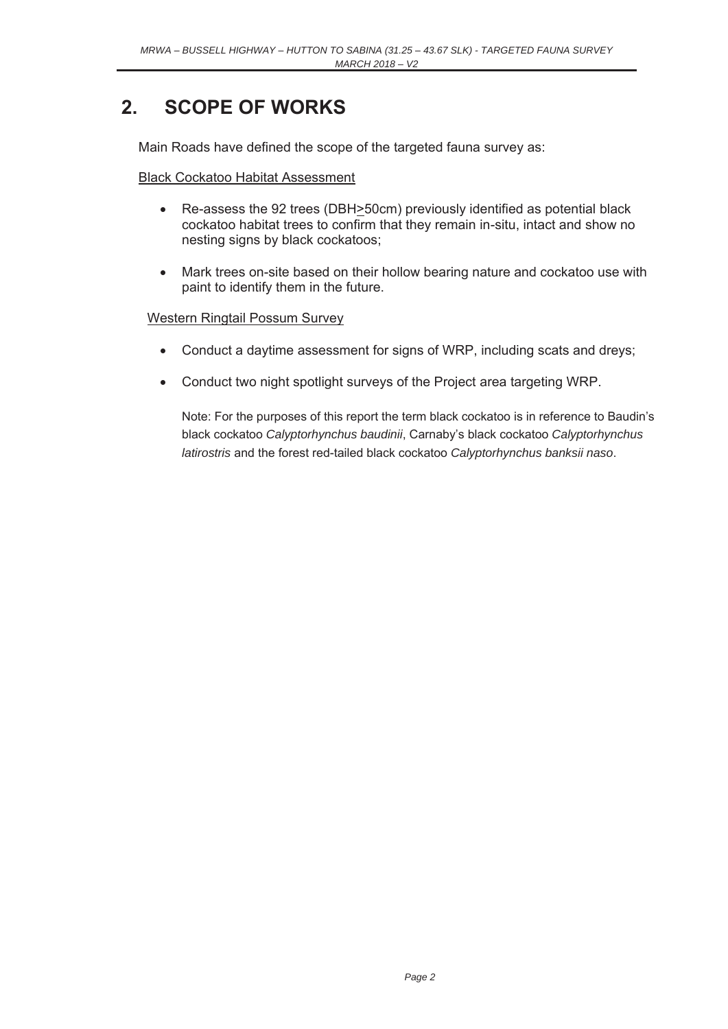# **2. SCOPE OF WORKS**

Main Roads have defined the scope of the targeted fauna survey as:

Black Cockatoo Habitat Assessment

- Re-assess the 92 trees (DBH>50cm) previously identified as potential black cockatoo habitat trees to confirm that they remain in-situ, intact and show no nesting signs by black cockatoos;
- Mark trees on-site based on their hollow bearing nature and cockatoo use with paint to identify them in the future.

#### Western Ringtail Possum Survey

- Conduct a daytime assessment for signs of WRP, including scats and dreys;
- Conduct two night spotlight surveys of the Project area targeting WRP.

Note: For the purposes of this report the term black cockatoo is in reference to Baudin's black cockatoo *Calyptorhynchus baudinii*, Carnaby's black cockatoo *Calyptorhynchus latirostris* and the forest red-tailed black cockatoo *Calyptorhynchus banksii naso*.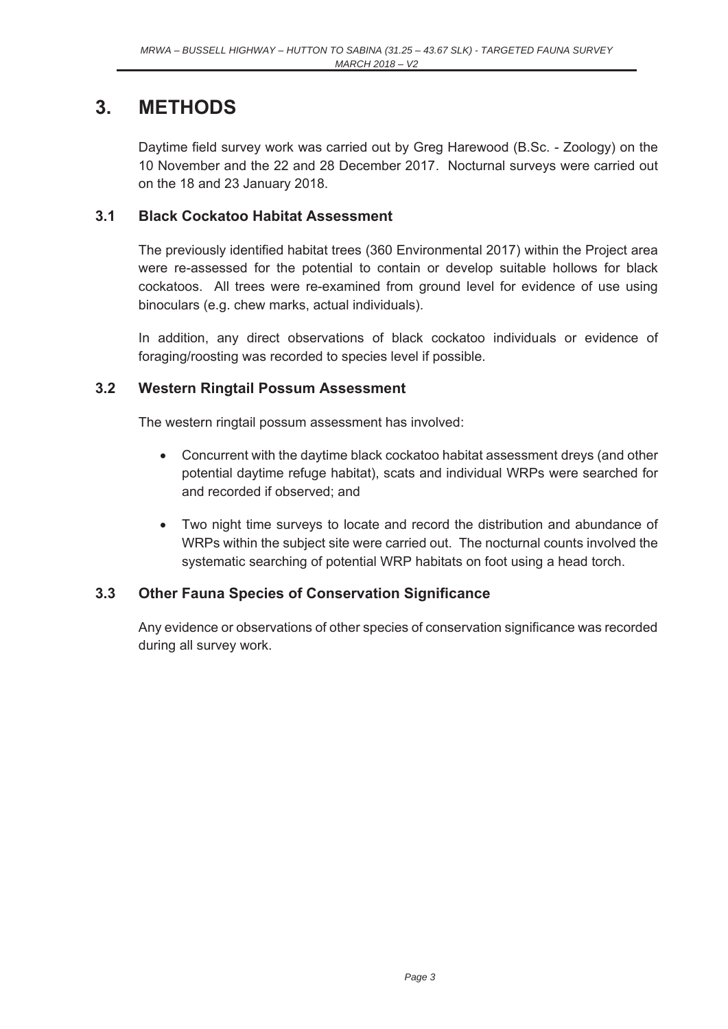### **3. METHODS**

Daytime field survey work was carried out by Greg Harewood (B.Sc. - Zoology) on the 10 November and the 22 and 28 December 2017. Nocturnal surveys were carried out on the 18 and 23 January 2018.

#### **3.1 Black Cockatoo Habitat Assessment**

The previously identified habitat trees (360 Environmental 2017) within the Project area were re-assessed for the potential to contain or develop suitable hollows for black cockatoos. All trees were re-examined from ground level for evidence of use using binoculars (e.g. chew marks, actual individuals).

In addition, any direct observations of black cockatoo individuals or evidence of foraging/roosting was recorded to species level if possible.

#### **3.2 Western Ringtail Possum Assessment**

The western ringtail possum assessment has involved:

- Concurrent with the daytime black cockatoo habitat assessment dreys (and other potential daytime refuge habitat), scats and individual WRPs were searched for and recorded if observed; and
- Two night time surveys to locate and record the distribution and abundance of WRPs within the subject site were carried out. The nocturnal counts involved the systematic searching of potential WRP habitats on foot using a head torch.

### **3.3 Other Fauna Species of Conservation Significance**

Any evidence or observations of other species of conservation significance was recorded during all survey work.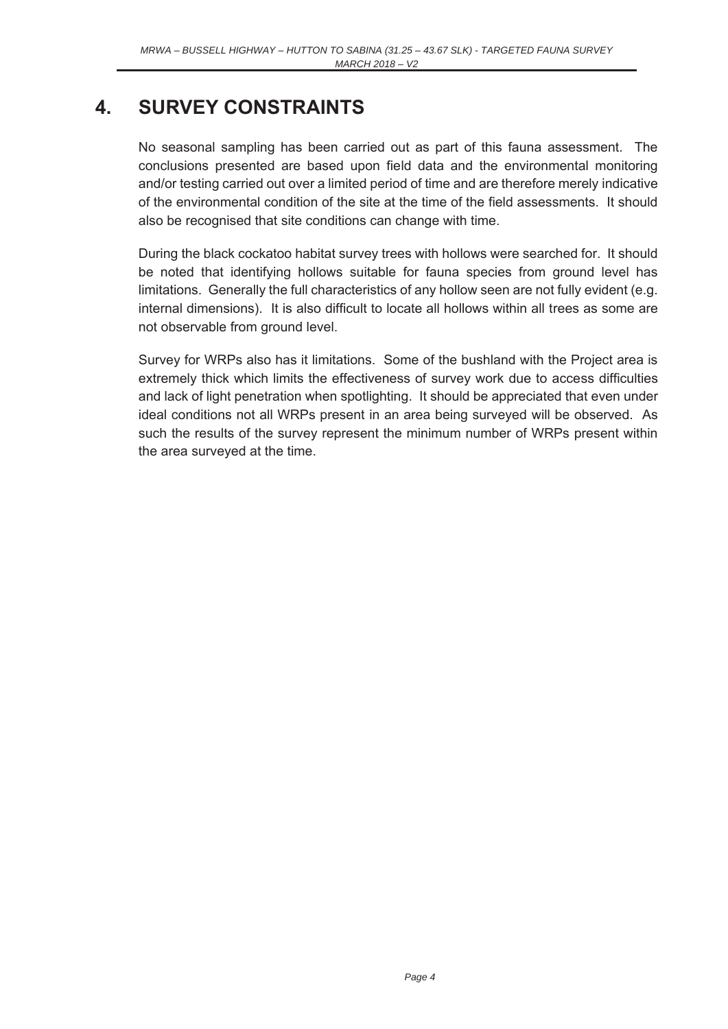## **4. SURVEY CONSTRAINTS**

No seasonal sampling has been carried out as part of this fauna assessment. The conclusions presented are based upon field data and the environmental monitoring and/or testing carried out over a limited period of time and are therefore merely indicative of the environmental condition of the site at the time of the field assessments. It should also be recognised that site conditions can change with time.

During the black cockatoo habitat survey trees with hollows were searched for. It should be noted that identifying hollows suitable for fauna species from ground level has limitations. Generally the full characteristics of any hollow seen are not fully evident (e.g. internal dimensions). It is also difficult to locate all hollows within all trees as some are not observable from ground level.

Survey for WRPs also has it limitations. Some of the bushland with the Project area is extremely thick which limits the effectiveness of survey work due to access difficulties and lack of light penetration when spotlighting. It should be appreciated that even under ideal conditions not all WRPs present in an area being surveyed will be observed. As such the results of the survey represent the minimum number of WRPs present within the area surveyed at the time.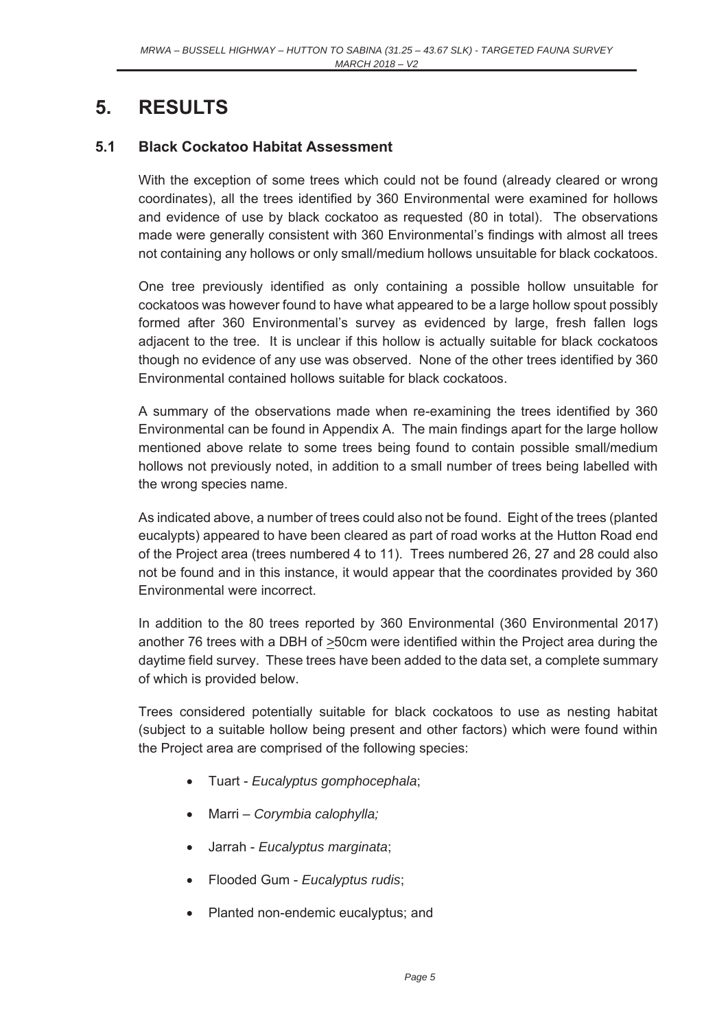## **5. RESULTS**

#### **5.1 Black Cockatoo Habitat Assessment**

With the exception of some trees which could not be found (already cleared or wrong coordinates), all the trees identified by 360 Environmental were examined for hollows and evidence of use by black cockatoo as requested (80 in total). The observations made were generally consistent with 360 Environmental's findings with almost all trees not containing any hollows or only small/medium hollows unsuitable for black cockatoos.

One tree previously identified as only containing a possible hollow unsuitable for cockatoos was however found to have what appeared to be a large hollow spout possibly formed after 360 Environmental's survey as evidenced by large, fresh fallen logs adjacent to the tree. It is unclear if this hollow is actually suitable for black cockatoos though no evidence of any use was observed. None of the other trees identified by 360 Environmental contained hollows suitable for black cockatoos.

A summary of the observations made when re-examining the trees identified by 360 Environmental can be found in Appendix A. The main findings apart for the large hollow mentioned above relate to some trees being found to contain possible small/medium hollows not previously noted, in addition to a small number of trees being labelled with the wrong species name.

As indicated above, a number of trees could also not be found. Eight of the trees (planted eucalypts) appeared to have been cleared as part of road works at the Hutton Road end of the Project area (trees numbered 4 to 11). Trees numbered 26, 27 and 28 could also not be found and in this instance, it would appear that the coordinates provided by 360 Environmental were incorrect.

In addition to the 80 trees reported by 360 Environmental (360 Environmental 2017) another 76 trees with a DBH of *>*50cm were identified within the Project area during the daytime field survey. These trees have been added to the data set, a complete summary of which is provided below.

Trees considered potentially suitable for black cockatoos to use as nesting habitat (subject to a suitable hollow being present and other factors) which were found within the Project area are comprised of the following species:

- x Tuart *Eucalyptus gomphocephala*;
- x Marri *Corymbia calophylla;*
- x Jarrah *Eucalyptus marginata*;
- x Flooded Gum *Eucalyptus rudis*;
- Planted non-endemic eucalyptus; and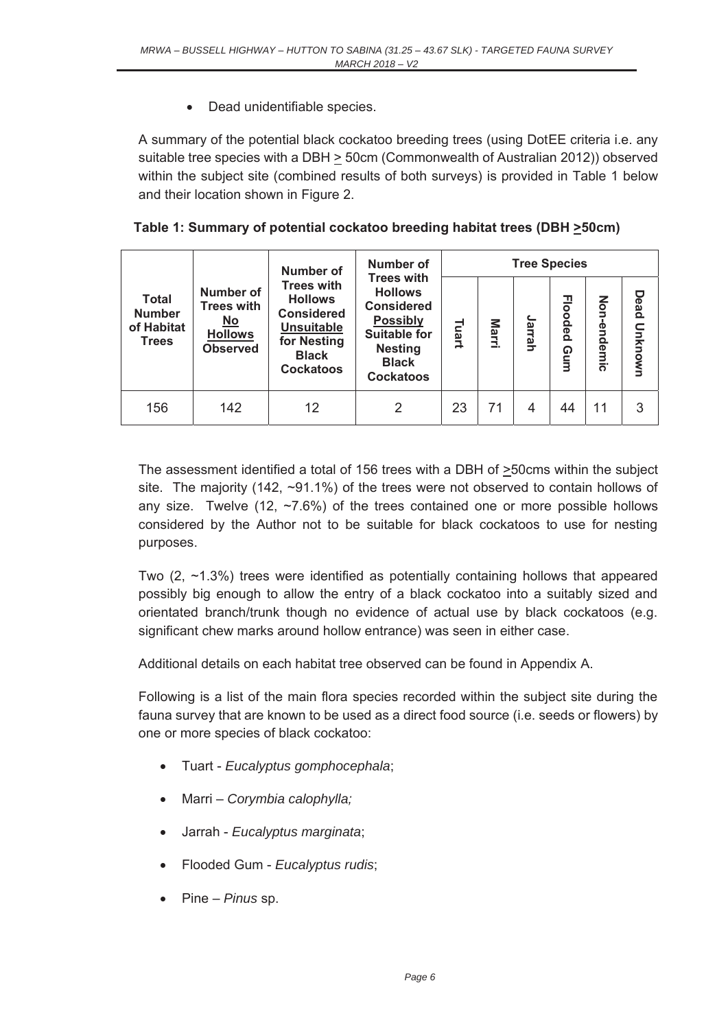• Dead unidentifiable species.

A summary of the potential black cockatoo breeding trees (using DotEE criteria i.e. any suitable tree species with a DBH > 50cm (Commonwealth of Australian 2012)) observed within the subject site (combined results of both surveys) is provided in Table 1 below and their location shown in Figure 2.

|  |  |  | Table 1: Summary of potential cockatoo breeding habitat trees (DBH ≥50cm) |  |
|--|--|--|---------------------------------------------------------------------------|--|
|  |  |  |                                                                           |  |

|                                                             |                                                                                                         | Number of                                                                                                                        | <b>Number of</b>                                                                                                                                         |       |       | <b>Tree Species</b> |                       |                 |                 |
|-------------------------------------------------------------|---------------------------------------------------------------------------------------------------------|----------------------------------------------------------------------------------------------------------------------------------|----------------------------------------------------------------------------------------------------------------------------------------------------------|-------|-------|---------------------|-----------------------|-----------------|-----------------|
| <b>Total</b><br><b>Number</b><br>of Habitat<br><b>Trees</b> | <b>Number of</b><br><b>Trees with</b><br>$\underline{\mathsf{No}}$<br><b>Hollows</b><br><b>Observed</b> | <b>Trees with</b><br><b>Hollows</b><br><b>Considered</b><br><b>Unsuitable</b><br>for Nesting<br><b>Black</b><br><b>Cockatoos</b> | <b>Trees with</b><br><b>Hollows</b><br><b>Considered</b><br><b>Possibly</b><br><b>Suitable for</b><br><b>Nesting</b><br><b>Black</b><br><b>Cockatoos</b> | Tuart | Marri | Jarrah              | <b>Flooded</b><br>Gum | Non<br>-endemic | Dead<br>Unknown |
| 156                                                         | 142                                                                                                     | 12                                                                                                                               | 2                                                                                                                                                        | 23    | 71    | 4                   | 44                    | 11              | 3               |

The assessment identified a total of 156 trees with a DBH of >50cms within the subject site. The majority (142, ~91.1%) of the trees were not observed to contain hollows of any size. Twelve (12,  $\approx$ 7.6%) of the trees contained one or more possible hollows considered by the Author not to be suitable for black cockatoos to use for nesting purposes.

Two (2, ~1.3%) trees were identified as potentially containing hollows that appeared possibly big enough to allow the entry of a black cockatoo into a suitably sized and orientated branch/trunk though no evidence of actual use by black cockatoos (e.g. significant chew marks around hollow entrance) was seen in either case.

Additional details on each habitat tree observed can be found in Appendix A.

Following is a list of the main flora species recorded within the subject site during the fauna survey that are known to be used as a direct food source (i.e. seeds or flowers) by one or more species of black cockatoo:

- x Tuart *Eucalyptus gomphocephala*;
- x Marri *Corymbia calophylla;*
- x Jarrah *Eucalyptus marginata*;
- x Flooded Gum *Eucalyptus rudis*;
- x Pine *Pinus* sp.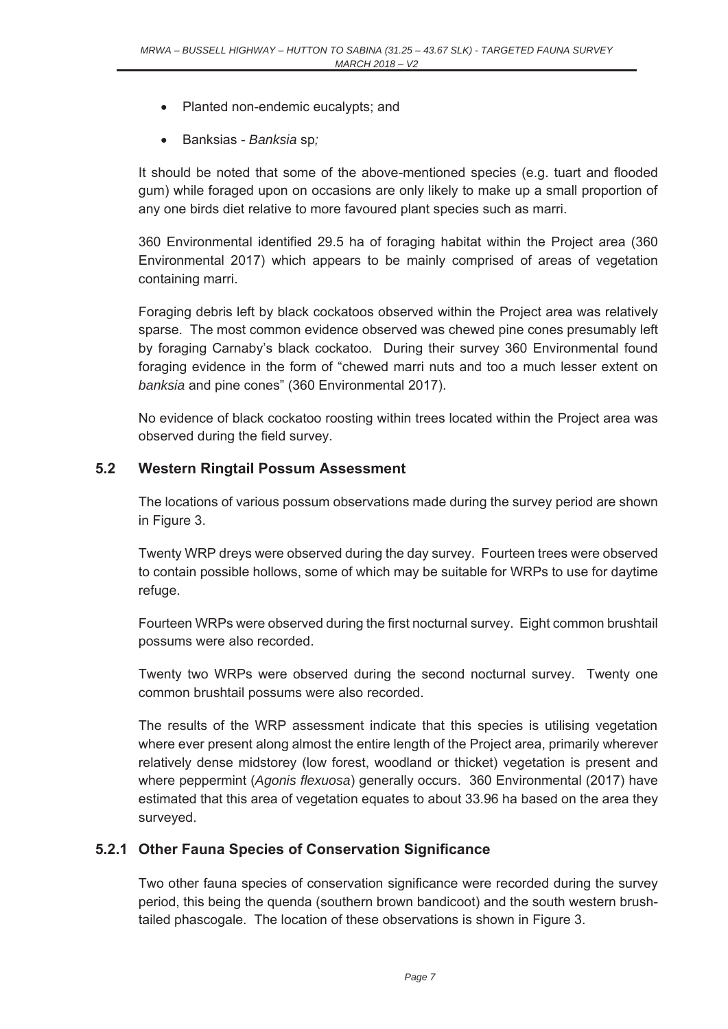- Planted non-endemic eucalypts; and
- x Banksias *Banksia* sp*;*

It should be noted that some of the above-mentioned species (e.g. tuart and flooded gum) while foraged upon on occasions are only likely to make up a small proportion of any one birds diet relative to more favoured plant species such as marri.

360 Environmental identified 29.5 ha of foraging habitat within the Project area (360 Environmental 2017) which appears to be mainly comprised of areas of vegetation containing marri.

Foraging debris left by black cockatoos observed within the Project area was relatively sparse. The most common evidence observed was chewed pine cones presumably left by foraging Carnaby's black cockatoo. During their survey 360 Environmental found foraging evidence in the form of "chewed marri nuts and too a much lesser extent on *banksia* and pine cones" (360 Environmental 2017).

No evidence of black cockatoo roosting within trees located within the Project area was observed during the field survey.

#### **5.2 Western Ringtail Possum Assessment**

The locations of various possum observations made during the survey period are shown in Figure 3.

Twenty WRP dreys were observed during the day survey. Fourteen trees were observed to contain possible hollows, some of which may be suitable for WRPs to use for daytime refuge.

Fourteen WRPs were observed during the first nocturnal survey. Eight common brushtail possums were also recorded.

Twenty two WRPs were observed during the second nocturnal survey. Twenty one common brushtail possums were also recorded.

The results of the WRP assessment indicate that this species is utilising vegetation where ever present along almost the entire length of the Project area, primarily wherever relatively dense midstorey (low forest, woodland or thicket) vegetation is present and where peppermint (*Agonis flexuosa*) generally occurs. 360 Environmental (2017) have estimated that this area of vegetation equates to about 33.96 ha based on the area they surveyed.

#### **5.2.1 Other Fauna Species of Conservation Significance**

Two other fauna species of conservation significance were recorded during the survey period, this being the quenda (southern brown bandicoot) and the south western brushtailed phascogale. The location of these observations is shown in Figure 3.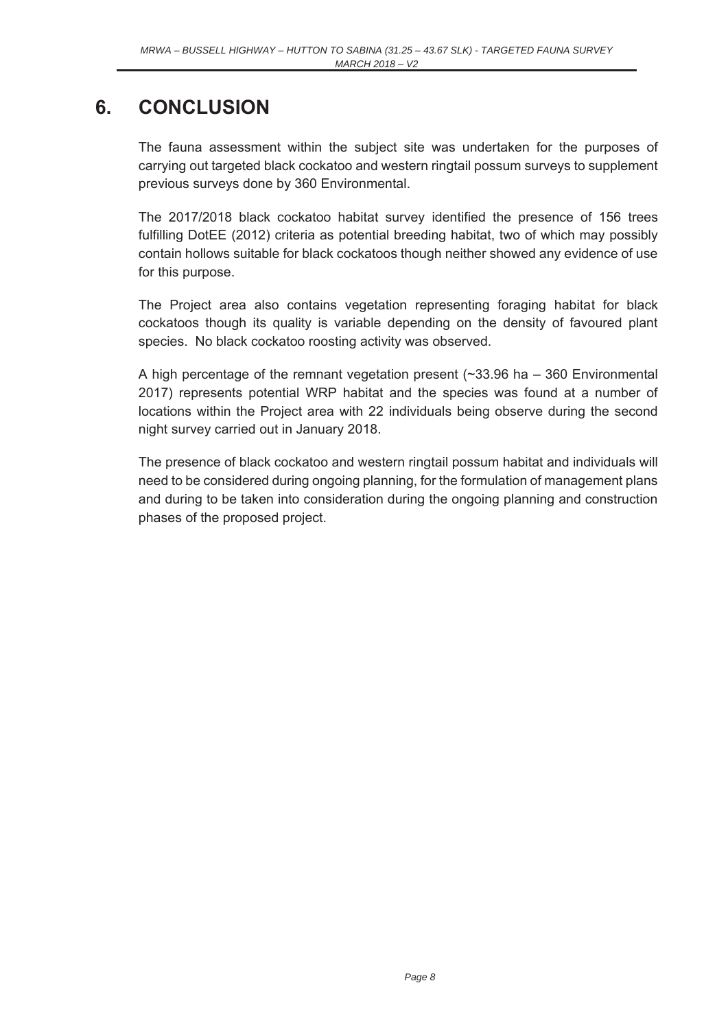# **6. CONCLUSION**

The fauna assessment within the subject site was undertaken for the purposes of carrying out targeted black cockatoo and western ringtail possum surveys to supplement previous surveys done by 360 Environmental.

The 2017/2018 black cockatoo habitat survey identified the presence of 156 trees fulfilling DotEE (2012) criteria as potential breeding habitat, two of which may possibly contain hollows suitable for black cockatoos though neither showed any evidence of use for this purpose.

The Project area also contains vegetation representing foraging habitat for black cockatoos though its quality is variable depending on the density of favoured plant species. No black cockatoo roosting activity was observed.

A high percentage of the remnant vegetation present (~33.96 ha – 360 Environmental 2017) represents potential WRP habitat and the species was found at a number of locations within the Project area with 22 individuals being observe during the second night survey carried out in January 2018.

The presence of black cockatoo and western ringtail possum habitat and individuals will need to be considered during ongoing planning, for the formulation of management plans and during to be taken into consideration during the ongoing planning and construction phases of the proposed project.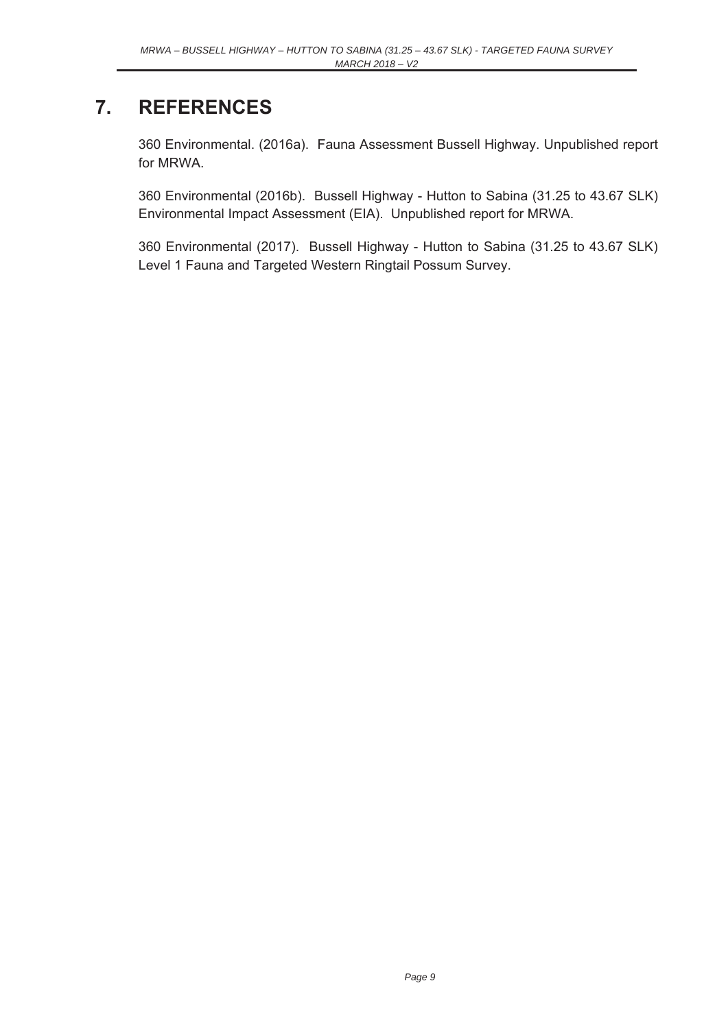# **7. REFERENCES**

360 Environmental. (2016a). Fauna Assessment Bussell Highway. Unpublished report for MRWA.

360 Environmental (2016b). Bussell Highway - Hutton to Sabina (31.25 to 43.67 SLK) Environmental Impact Assessment (EIA). Unpublished report for MRWA.

360 Environmental (2017). Bussell Highway - Hutton to Sabina (31.25 to 43.67 SLK) Level 1 Fauna and Targeted Western Ringtail Possum Survey.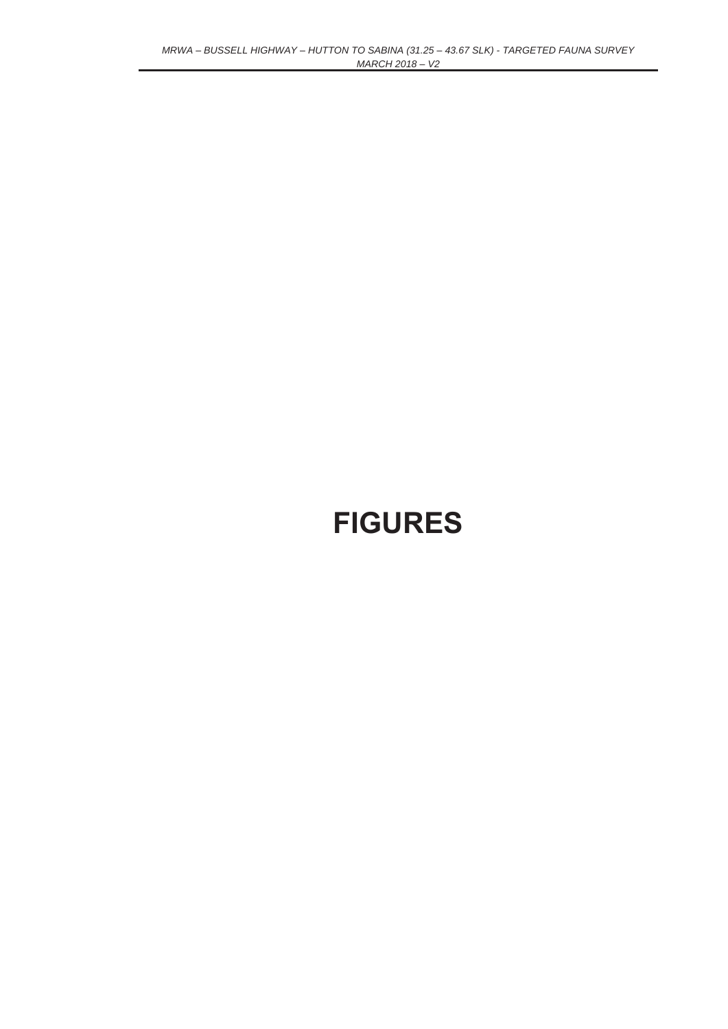# **FIGURES**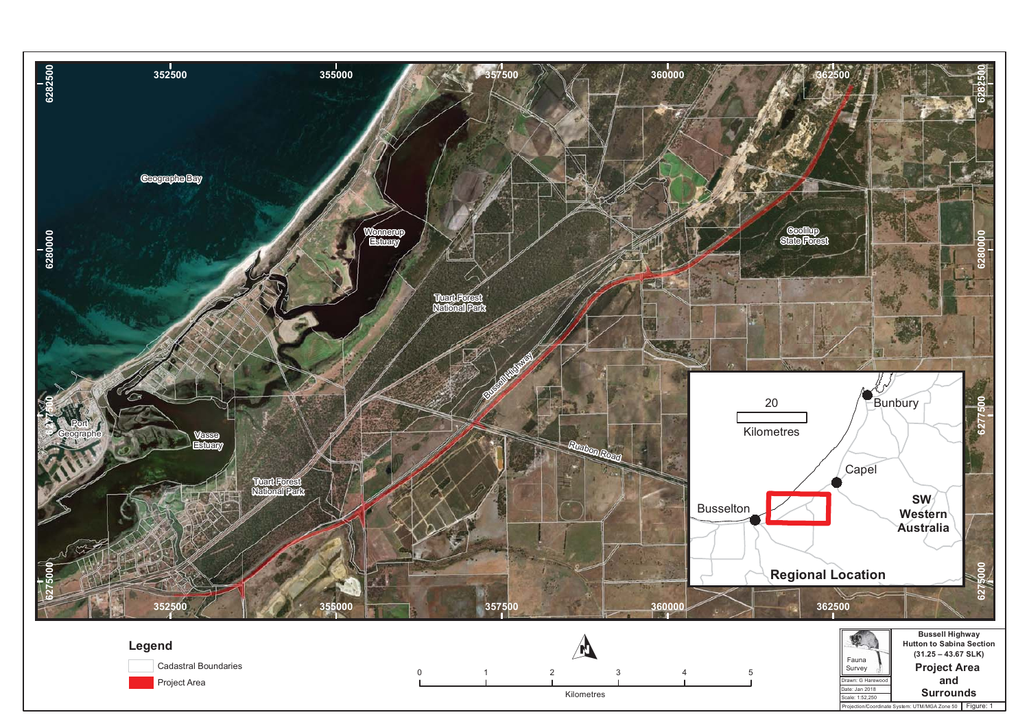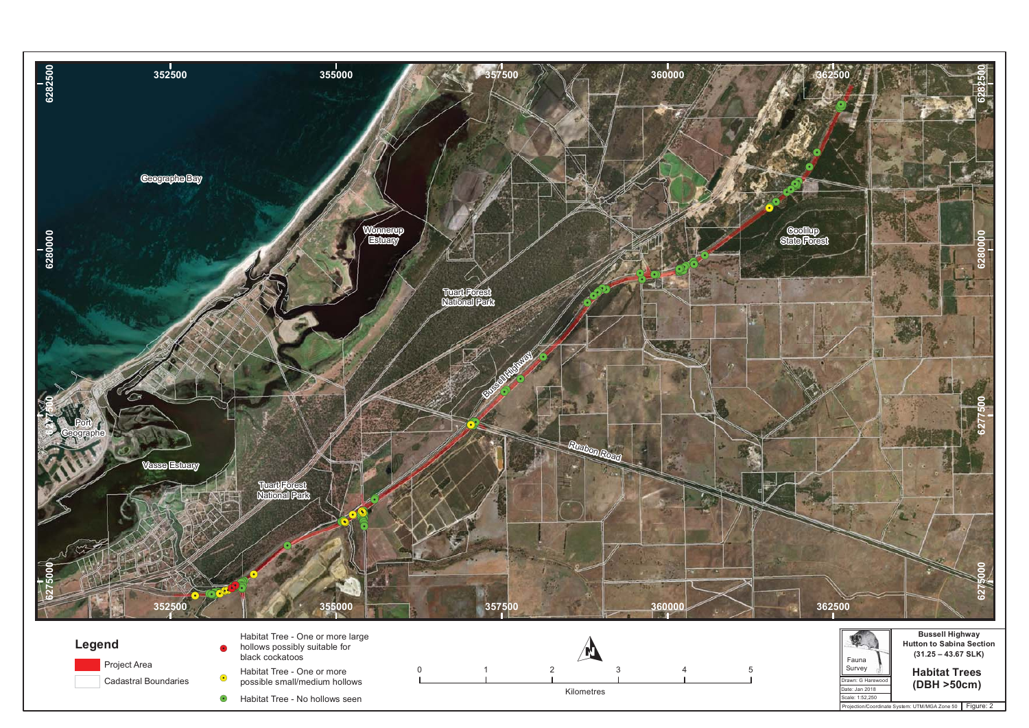![](_page_13_Figure_0.jpeg)

 $\bullet$ Habitat Tree - No hollows seen

![](_page_13_Figure_2.jpeg)

![](_page_13_Figure_3.jpeg)

Date: Jan 2018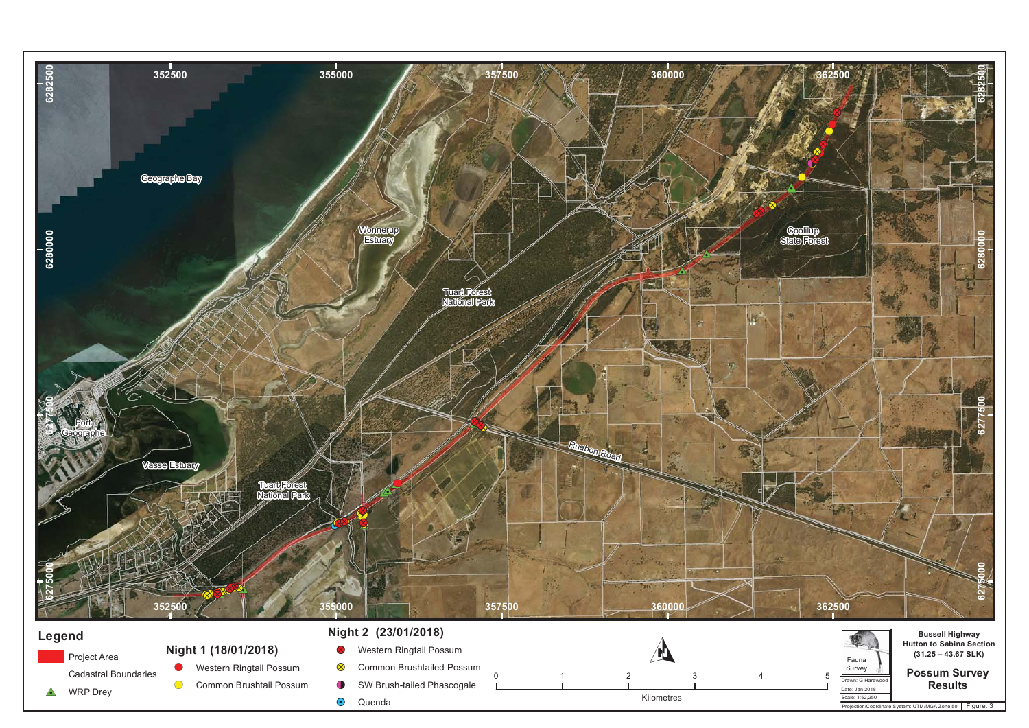![](_page_14_Figure_0.jpeg)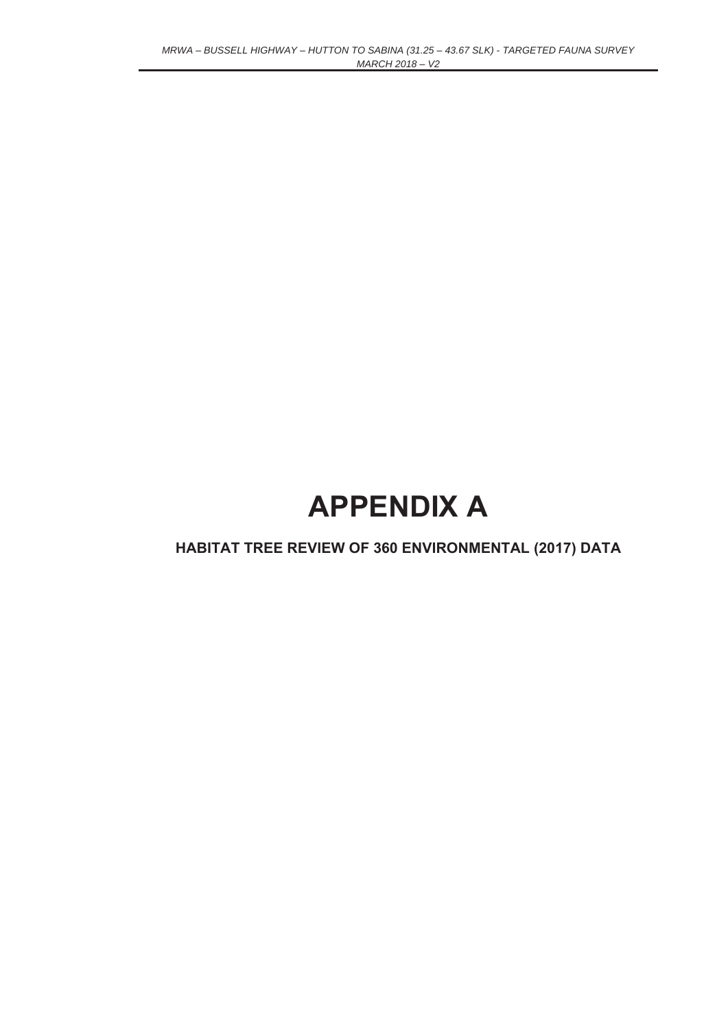# **APPENDIX A**

### **HABITAT TREE REVIEW OF 360 ENVIRONMENTAL (2017) DATA**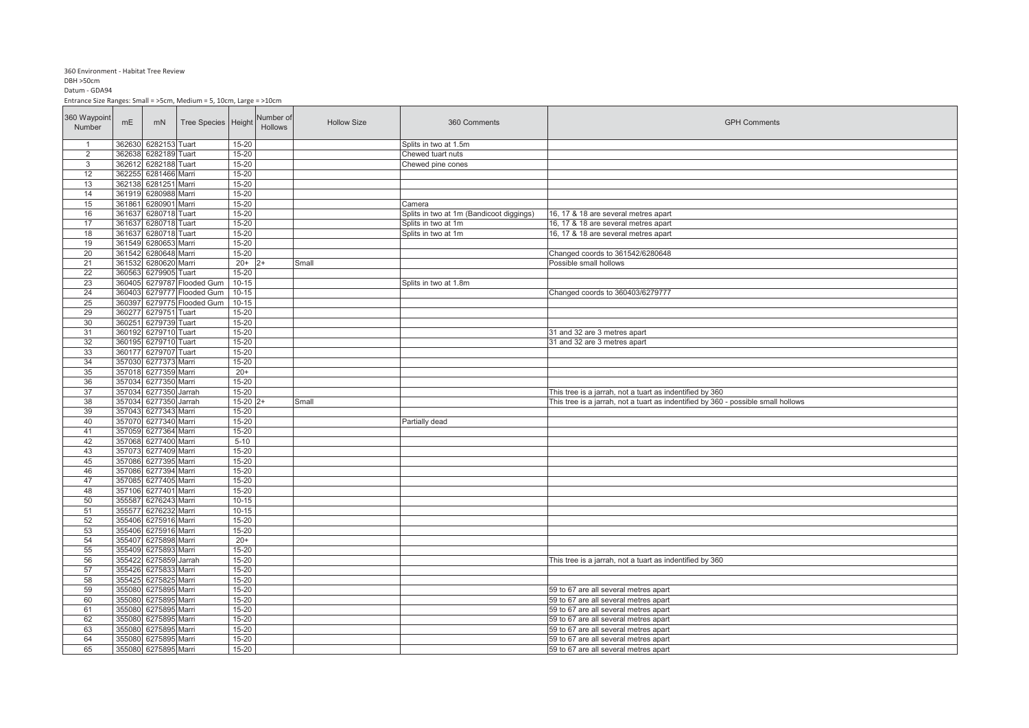#### 360 Environment - Habitat Tree Review

#### $DBH > 50cm$

Datum - GDA94

Entrance Size Ranges: Small = >5cm, Medium = 5, 10cm, Large = >10cm

| 360 Waypoint<br>Number | mE               | mN             | Tree Species Height                        |                        | Number of<br><b>Hollows</b> | <b>Hollow Size</b> | 360 Comments                             | <b>GPH Comments</b>                                                               |
|------------------------|------------------|----------------|--------------------------------------------|------------------------|-----------------------------|--------------------|------------------------------------------|-----------------------------------------------------------------------------------|
| $\overline{1}$         | 362630           | 6282153 Tuart  |                                            | 15-20                  |                             |                    | Splits in two at 1.5m                    |                                                                                   |
| $\overline{2}$         | 362638           | 6282189 Tuart  |                                            | 15-20                  |                             |                    | Chewed tuart nuts                        |                                                                                   |
| 3                      | 362612           | 6282188 Tuart  |                                            | $15 - 20$              |                             |                    | Chewed pine cones                        |                                                                                   |
| 12                     | 362255           | 6281466 Marri  |                                            | 15-20                  |                             |                    |                                          |                                                                                   |
| 13                     | 362138           | 6281251 Marri  |                                            | $15 - 20$              |                             |                    |                                          |                                                                                   |
| 14                     | 361919           | 6280988 Marri  |                                            | $15 - 20$              |                             |                    |                                          |                                                                                   |
| 15                     | 36186            | 6280901 Marri  |                                            | $15 - 20$              |                             |                    | Camera                                   |                                                                                   |
| 16                     | 361637           | 6280718 Tuart  |                                            | 15-20                  |                             |                    | Splits in two at 1m (Bandicoot diggings) | 16, 17 & 18 are several metres apart                                              |
| 17                     | 361637           | 6280718 Tuart  |                                            | $15 - 20$              |                             |                    | Splits in two at 1m                      | 16, 17 & 18 are several metres apart                                              |
| 18                     | 361637           | 6280718 Tuart  |                                            | $15 - 20$              |                             |                    | Splits in two at 1m                      | 16, 17 & 18 are several metres apart                                              |
| 19                     | 361549           | 6280653 Marri  |                                            | $15 - 20$              |                             |                    |                                          |                                                                                   |
| 20                     | 361542<br>361532 | 6280648 Marri  |                                            | 15-20                  |                             |                    |                                          | Changed coords to 361542/6280648                                                  |
| 21                     |                  | 6280620 Marri  |                                            | $20+$<br>$15 - 20$     |                             | Small              |                                          | Possible small hollows                                                            |
| 22                     | 360563           | 6279905 Tuart  |                                            |                        |                             |                    |                                          |                                                                                   |
| 23<br>24               | 36040<br>36040   |                | 6279787 Flooded Gum<br>6279777 Flooded Gum | $10 - 15$<br>$10 - 15$ |                             |                    | Splits in two at 1.8m                    |                                                                                   |
|                        | 360397           |                |                                            |                        |                             |                    |                                          | Changed coords to 360403/6279777                                                  |
| 25<br>29               | 36027            | 6279751 Tuart  | 6279775 Flooded Gum                        | $10 - 15$<br>15-20     |                             |                    |                                          |                                                                                   |
| 30                     | 360251           | 6279739 Tuart  |                                            | $15 - 20$              |                             |                    |                                          |                                                                                   |
| 31                     | 360192           | 6279710 Tuart  |                                            | $15 - 20$              |                             |                    |                                          | 31 and 32 are 3 metres apart                                                      |
| 32                     | 360195           | 6279710 Tuart  |                                            | $15 - 20$              |                             |                    |                                          | 31 and 32 are 3 metres apart                                                      |
| 33                     | 360177           | 6279707 Tuart  |                                            | $15 - 20$              |                             |                    |                                          |                                                                                   |
| 34                     | 357030           | 6277373 Marri  |                                            | $15 - 20$              |                             |                    |                                          |                                                                                   |
| 35                     | 357018           | 6277359 Marri  |                                            | $20+$                  |                             |                    |                                          |                                                                                   |
| 36                     | 357034           | 6277350 Marri  |                                            | 15-20                  |                             |                    |                                          |                                                                                   |
| 37                     | 357034           | 6277350 Jarrah |                                            | $15 - 20$              |                             |                    |                                          | This tree is a jarrah, not a tuart as indentified by 360                          |
| 38                     | 357034           | 6277350 Jarrah |                                            | $15 - 20$              |                             | Small              |                                          | This tree is a jarrah, not a tuart as indentified by 360 - possible small hollows |
| 39                     | 357043           | 6277343 Marri  |                                            | $15 - 20$              |                             |                    |                                          |                                                                                   |
| 40                     | 357070           | 6277340 Marri  |                                            | $15 - 20$              |                             |                    | Partially dead                           |                                                                                   |
| 41                     | 357059           | 6277364 Marri  |                                            | $15 - 20$              |                             |                    |                                          |                                                                                   |
| 42                     | 357068           | 6277400 Marri  |                                            | $5 - 10$               |                             |                    |                                          |                                                                                   |
| 43                     | 357073           | 6277409 Marri  |                                            | $15 - 20$              |                             |                    |                                          |                                                                                   |
| 45                     | 357086           | 6277395 Marri  |                                            | $15 - 20$              |                             |                    |                                          |                                                                                   |
| 46                     | 357086           | 6277394 Marri  |                                            | $15 - 20$              |                             |                    |                                          |                                                                                   |
| 47                     | 357085           | 6277405 Marri  |                                            | 15-20                  |                             |                    |                                          |                                                                                   |
| 48                     | 357106           | 6277401 Marri  |                                            | 15-20                  |                             |                    |                                          |                                                                                   |
| 50                     | 355587           | 6276243 Marri  |                                            | $10 - 15$              |                             |                    |                                          |                                                                                   |
| 51                     | 35557            | 6276232 Marri  |                                            | $10 - 15$              |                             |                    |                                          |                                                                                   |
| 52                     | 355406           | 6275916 Marri  |                                            | $15 - 20$              |                             |                    |                                          |                                                                                   |
| 53                     | 355406           | 6275916 Marri  |                                            | $15 - 20$              |                             |                    |                                          |                                                                                   |
| 54                     | 355407           | 6275898 Marri  |                                            | $20+$                  |                             |                    |                                          |                                                                                   |
| 55                     | 355409           | 6275893 Marri  |                                            | $15 - 20$              |                             |                    |                                          |                                                                                   |
| 56                     | 35542            | 6275859 Jarrah |                                            | 15-20                  |                             |                    |                                          | This tree is a jarrah, not a tuart as indentified by 360                          |
| 57                     | 355426           | 6275833 Marri  |                                            | $15 - 20$              |                             |                    |                                          |                                                                                   |
| 58                     | 355425           | 6275825 Marri  |                                            | $15 - 20$              |                             |                    |                                          |                                                                                   |
| 59                     | 355080           | 6275895 Marri  |                                            | $15 - 20$              |                             |                    |                                          | 59 to 67 are all several metres apart                                             |
| 60                     | 355080           | 6275895 Marri  |                                            | $15 - 20$              |                             |                    |                                          | 59 to 67 are all several metres apart                                             |
| 61                     | 355080           | 6275895 Marri  |                                            | $15 - 20$              |                             |                    |                                          | 59 to 67 are all several metres apart                                             |
| 62                     | 355080           | 6275895 Marri  |                                            | $15 - 20$              |                             |                    |                                          | 59 to 67 are all several metres apart                                             |
| 63                     | 355080           | 6275895 Marri  |                                            | $15 - 20$              |                             |                    |                                          | 59 to 67 are all several metres apart                                             |
| 64                     | 355080           | 6275895 Marri  |                                            | $15 - 20$              |                             |                    |                                          | 59 to 67 are all several metres apart                                             |
| 65                     | 355080           | 6275895 Marri  |                                            | $15 - 20$              |                             |                    |                                          | 59 to 67 are all several metres apart                                             |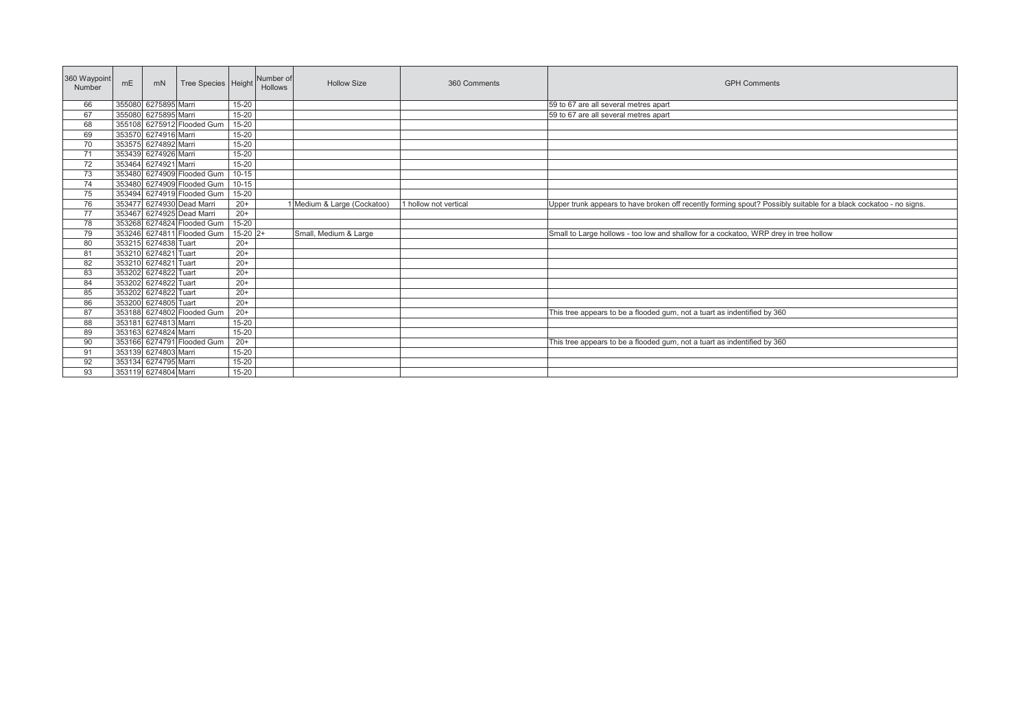| 360 Waypoint<br>Number | mE | mN                   | Tree Species Height        |            | Number of<br><b>Hollows</b> | <b>Hollow Size</b>          | 360 Comments          | <b>GPH Comments</b>                                                                                               |
|------------------------|----|----------------------|----------------------------|------------|-----------------------------|-----------------------------|-----------------------|-------------------------------------------------------------------------------------------------------------------|
| 66                     |    | 355080 6275895 Marri |                            | 15-20      |                             |                             |                       | 59 to 67 are all several metres apart                                                                             |
| 67                     |    | 355080 6275895 Marri |                            | $15 - 20$  |                             |                             |                       | 59 to 67 are all several metres apart                                                                             |
| 68                     |    |                      | 355108 6275912 Flooded Gum | $15 - 20$  |                             |                             |                       |                                                                                                                   |
| 69                     |    | 353570 6274916 Marri |                            | 15-20      |                             |                             |                       |                                                                                                                   |
| 70                     |    | 353575 6274892 Marri |                            | 15-20      |                             |                             |                       |                                                                                                                   |
| 71                     |    | 353439 6274926 Marri |                            | $15 - 20$  |                             |                             |                       |                                                                                                                   |
| 72                     |    | 353464 6274921 Marri |                            | $15 - 20$  |                             |                             |                       |                                                                                                                   |
| 73                     |    |                      | 353480 6274909 Flooded Gum | $10-15$    |                             |                             |                       |                                                                                                                   |
| 74                     |    |                      | 353480 6274909 Flooded Gum | $10 - 15$  |                             |                             |                       |                                                                                                                   |
| 75                     |    |                      | 353494 6274919 Flooded Gum | 15-20      |                             |                             |                       |                                                                                                                   |
| 76                     |    |                      | 353477 6274930 Dead Marri  | $20+$      |                             | 1 Medium & Large (Cockatoo) | 1 hollow not vertical | Upper trunk appears to have broken off recently forming spout? Possibly suitable for a black cockatoo - no signs. |
| 77                     |    |                      | 353467 6274925 Dead Marri  | $20+$      |                             |                             |                       |                                                                                                                   |
| 78                     |    |                      | 353268 6274824 Flooded Gum | $15 - 20$  |                             |                             |                       |                                                                                                                   |
| 79                     |    |                      | 353246 6274811 Flooded Gum | $15-20$ 2+ |                             | Small, Medium & Large       |                       | Small to Large hollows - too low and shallow for a cockatoo, WRP drey in tree hollow                              |
| 80                     |    | 353215 6274838 Tuart |                            | $20+$      |                             |                             |                       |                                                                                                                   |
| 81                     |    | 353210 6274821 Tuart |                            | $20+$      |                             |                             |                       |                                                                                                                   |
| 82                     |    | 353210 6274821 Tuart |                            | $20+$      |                             |                             |                       |                                                                                                                   |
| 83                     |    | 353202 6274822 Tuart |                            | $20+$      |                             |                             |                       |                                                                                                                   |
| 84                     |    | 353202 6274822 Tuart |                            | $20+$      |                             |                             |                       |                                                                                                                   |
| 85                     |    | 353202 6274822 Tuart |                            | $20+$      |                             |                             |                       |                                                                                                                   |
| 86                     |    | 353200 6274805 Tuart |                            | $20+$      |                             |                             |                       |                                                                                                                   |
| 87                     |    |                      | 353188 6274802 Flooded Gum | $20+$      |                             |                             |                       | This tree appears to be a flooded gum, not a tuart as indentified by 360                                          |
| 88                     |    | 353181 6274813 Marri |                            | $15 - 20$  |                             |                             |                       |                                                                                                                   |
| 89                     |    | 353163 6274824 Marri |                            | $15 - 20$  |                             |                             |                       |                                                                                                                   |
| 90                     |    |                      | 353166 6274791 Flooded Gum | $20+$      |                             |                             |                       | This tree appears to be a flooded gum, not a tuart as indentified by 360                                          |
| 91                     |    | 353139 6274803 Marri |                            | $15 - 20$  |                             |                             |                       |                                                                                                                   |
| 92                     |    | 353134 6274795 Marri |                            | 15-20      |                             |                             |                       |                                                                                                                   |
| 93                     |    | 353119 6274804 Marri |                            | $15 - 20$  |                             |                             |                       |                                                                                                                   |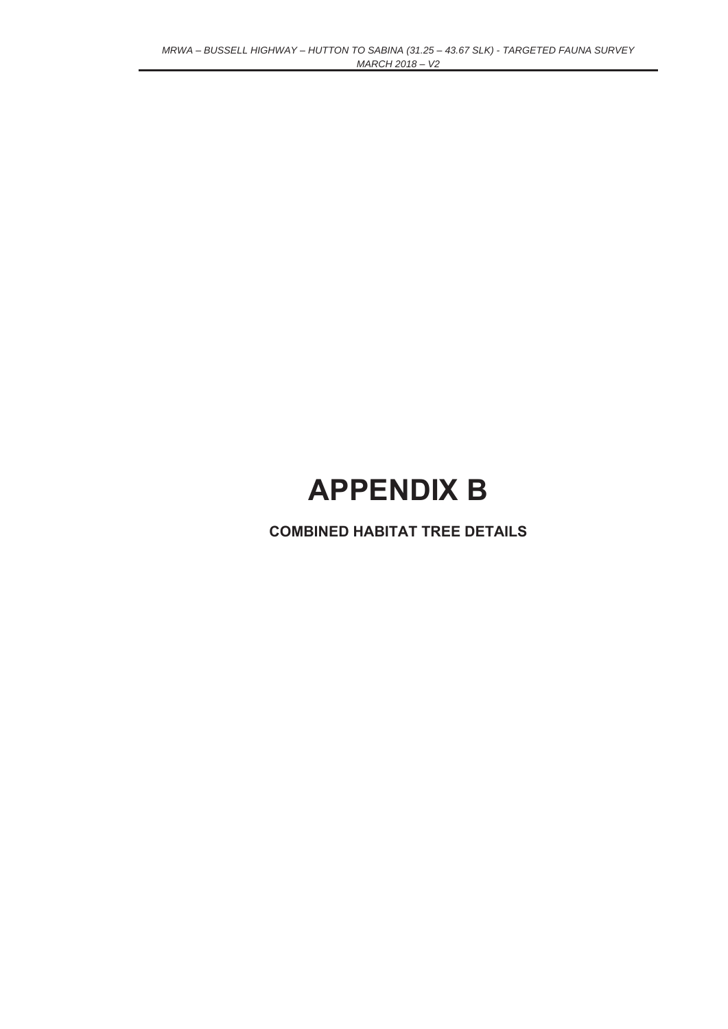# **APPENDIX B**

**COMBINED HABITAT TREE DETAILS**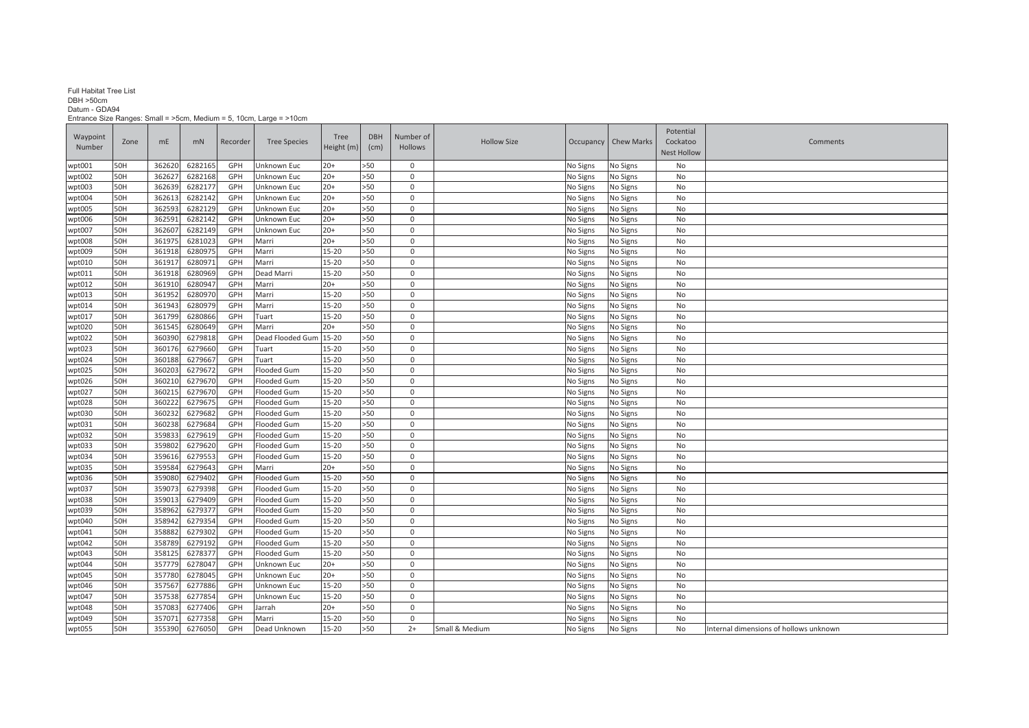#### Full Habitat Tree List

#### DBH >50cm Datum - GDA94

Entrance Size Ranges: Small = >5cm, Medium = 5, 10cm, Large = >10cm

| Waypoint |      |        |         |          |                     | Tree         | <b>DBH</b> | Number of    |                    |          |                        | Potential          |                                        |
|----------|------|--------|---------|----------|---------------------|--------------|------------|--------------|--------------------|----------|------------------------|--------------------|----------------------------------------|
| Number   | Zone | mE     | mN      | Recorder | <b>Tree Species</b> | Height $(m)$ | (cm)       | Hollows      | <b>Hollow Size</b> |          | Occupancy   Chew Marks | Cockatoo           | Comments                               |
|          |      |        |         |          |                     |              |            |              |                    |          |                        | <b>Nest Hollow</b> |                                        |
| wpt001   | 50H  | 362620 | 6282165 | GPH      | Unknown Euc         | $20+$        | >50        | $\mathbf 0$  |                    | No Signs | No Signs               | No                 |                                        |
| wpt002   | 50H  | 36262  | 6282168 | GPH      | Unknown Euc         | $20+$        | >50        | $\mathbf 0$  |                    | No Signs | No Signs               | No                 |                                        |
| wpt003   | 50H  | 362639 | 6282177 | GPH      | Unknown Euc         | $20+$        | >50        | $\mathbf 0$  |                    | No Signs | No Signs               | No                 |                                        |
| wpt004   | 50H  | 36261  | 6282142 | GPH      | Unknown Euc         | $20+$        | >50        | $\mathbf 0$  |                    | No Signs | No Signs               | No                 |                                        |
| wpt005   | 50H  | 36259  | 6282129 | GPH      | Unknown Euc         | $20+$        | >50        | $\mathbf 0$  |                    | No Signs | No Signs               | No                 |                                        |
| wpt006   | 50H  | 36259  | 6282142 | GPH      | Unknown Euc         | $20+$        | >50        | $\mathsf 0$  |                    | No Signs | No Signs               | No                 |                                        |
| wpt007   | 50H  | 36260  | 6282149 | GPH      | Unknown Euc         | $20+$        | >50        | $\mathbf 0$  |                    | No Signs | No Signs               | No                 |                                        |
| wpt008   | 50H  | 36197  | 6281023 | GPH      | Marri               | $20+$        | >50        | $\mathbf{0}$ |                    | No Signs | No Signs               | No                 |                                        |
| wpt009   | 50H  | 36191  | 6280975 | GPH      | Marri               | 15-20        | >50        | $\mathbf 0$  |                    | No Signs | No Signs               | No                 |                                        |
| wpt010   | 50H  | 36191  | 6280971 | GPH      | Marri               | 15-20        | >50        | $\mathbf 0$  |                    | No Signs | No Signs               | No                 |                                        |
| wpt011   | 50H  | 36191  | 6280969 | GPH      | Dead Marri          | 15-20        | >50        | $\mathbf 0$  |                    | No Signs | No Signs               | No                 |                                        |
| wpt012   | 50H  | 36191  | 6280947 | GPH      | Marri               | $20+$        | >50        | $\mathbf 0$  |                    | No Signs | No Signs               | No                 |                                        |
| wpt013   | 50H  | 361952 | 6280970 | GPH      | Marri               | 15-20        | >50        | $\mathbf 0$  |                    | No Signs | No Signs               | No                 |                                        |
| wpt014   | 50H  | 361943 | 6280979 | GPH      | Marri               | 15-20        | >50        | $\mathbf 0$  |                    | No Signs | No Signs               | No                 |                                        |
| wpt017   | 50H  | 361799 | 6280866 | GPH      | Tuart               | 15-20        | >50        | $\Omega$     |                    | No Signs | No Signs               | No                 |                                        |
| wpt020   | 50H  | 361545 | 6280649 | GPH      | Marri               | $20+$        | >50        | $\mathbf 0$  |                    | No Signs | No Signs               | No                 |                                        |
| wpt022   | 50H  | 36039  | 6279818 | GPH      | Dead Flooded Gum    | $15 - 20$    | >50        | $\mathbf 0$  |                    | No Signs | No Signs               | No                 |                                        |
| wpt023   | 50H  | 36017  | 6279660 | GPH      | Tuart               | $15 - 20$    | >50        | $\mathbf 0$  |                    | No Signs | No Signs               | No                 |                                        |
| wpt024   | 50H  | 360188 | 6279667 | GPH      | Tuart               | 15-20        | >50        | $\mathbf 0$  |                    | No Signs | No Signs               | No                 |                                        |
| wpt025   | 50H  | 36020  | 6279672 | GPH      | Flooded Gum         | 15-20        | >50        | $\mathbf 0$  |                    | No Signs | No Signs               | No                 |                                        |
| wpt026   | 50H  | 36021  | 6279670 | GPH      | Flooded Gum         | $15 - 20$    | >50        | $\mathbf 0$  |                    | No Signs | No Signs               | No                 |                                        |
| wpt027   | 50H  | 36021  | 6279670 | GPH      | Flooded Gum         | $15 - 20$    | >50        | $\mathbf 0$  |                    | No Signs | No Signs               | No                 |                                        |
| wpt028   | 50H  | 36022  | 6279675 | GPH      | Flooded Gum         | $15 - 20$    | >50        | $\mathbf 0$  |                    | No Signs | No Signs               | No                 |                                        |
| wpt030   | 50H  | 36023  | 6279682 | GPH      | Flooded Gum         | 15-20        | >50        | $\mathbf 0$  |                    | No Signs | No Signs               | No                 |                                        |
| wpt031   | 50H  | 36023  | 6279684 | GPH      | Flooded Gum         | $15 - 20$    | >50        | $\mathbf 0$  |                    | No Signs | No Signs               | No                 |                                        |
| wpt032   | 50H  | 359833 | 6279619 | GPH      | Flooded Gum         | $15 - 20$    | >50        | $\mathsf 0$  |                    | No Signs | No Signs               | No                 |                                        |
| wpt033   | 50H  | 35980  | 6279620 | GPH      | Flooded Gum         | 15-20        | >50        | $\mathbf 0$  |                    | No Signs | No Signs               | No                 |                                        |
| wpt034   | 50H  | 35961  | 6279553 | GPH      | Flooded Gum         | $15 - 20$    | >50        | $\mathsf 0$  |                    | No Signs | No Signs               | No                 |                                        |
| wpt035   | 50H  | 359584 | 6279643 | GPH      | Marri               | $20+$        | >50        | $\mathbf 0$  |                    | No Signs | No Signs               | No                 |                                        |
| wpt036   | 50H  | 35908  | 6279402 | GPH      | Flooded Gum         | $15 - 20$    | >50        | $\mathbf 0$  |                    | No Signs | No Signs               | No                 |                                        |
| wpt037   | 50H  | 35907  | 6279398 | GPH      | Flooded Gum         | 15-20        | >50        | $\mathbf 0$  |                    | No Signs | No Signs               | No                 |                                        |
| wpt038   | 50H  | 35901  | 6279409 | GPH      | Flooded Gum         | 15-20        | >50        | $\mathbf 0$  |                    | No Signs | No Signs               | No                 |                                        |
| wpt039   | 50H  | 358962 | 6279377 | GPH      | Flooded Gum         | $15 - 20$    | >50        | $\mathbf 0$  |                    | No Signs | No Signs               | No                 |                                        |
| wpt040   | 50H  | 358942 | 6279354 | GPH      | Flooded Gum         | $15 - 20$    | >50        | $\Omega$     |                    | No Signs | No Signs               | No                 |                                        |
| wpt041   | 50H  | 358882 | 6279302 | GPH      | Flooded Gum         | 15-20        | >50        | $\mathsf 0$  |                    | No Signs | No Signs               | No                 |                                        |
| wpt042   | 50H  | 358789 | 6279192 | GPH      | Flooded Gum         | $15 - 20$    | >50        | $\mathsf 0$  |                    | No Signs | No Signs               | No                 |                                        |
| wpt043   | 50H  | 35812  | 6278377 | GPH      | Flooded Gum         | $15 - 20$    | >50        | $\mathbf 0$  |                    | No Signs | No Signs               | No                 |                                        |
| wpt044   | 50H  | 357779 | 6278047 | GPH      | Unknown Euc         | $20+$        | >50        | $\mathbf 0$  |                    | No Signs | No Signs               | No                 |                                        |
| wpt045   | 50H  | 357780 | 6278045 | GPH      | Unknown Euc         | $20+$        | >50        | $\mathbf 0$  |                    | No Signs | No Signs               | No                 |                                        |
| wpt046   | 50H  | 357567 | 6277886 | GPH      | Unknown Euc         | $15 - 20$    | >50        | $\mathbf 0$  |                    | No Signs | No Signs               | No                 |                                        |
| wpt047   | 50H  | 357538 | 6277854 | GPH      | Unknown Euc         | $15 - 20$    | >50        | $\mathbf 0$  |                    | No Signs | No Signs               | No                 |                                        |
| wpt048   | 50H  | 35708  | 6277406 | GPH      | Jarrah              | $20+$        | >50        | $\mathsf 0$  |                    | No Signs | No Signs               | No                 |                                        |
| wpt049   | 50H  | 35707  | 6277358 | GPH      | Marri               | $15 - 20$    | $>50$      | $\mathsf 0$  |                    | No Signs | No Signs               | No                 |                                        |
| wpt055   | 50H  | 355390 | 6276050 | GPH      | Dead Unknown        | $15 - 20$    | >50        | $2+$         | Small & Medium     | No Signs | No Signs               | No                 | Internal dimensions of hollows unknown |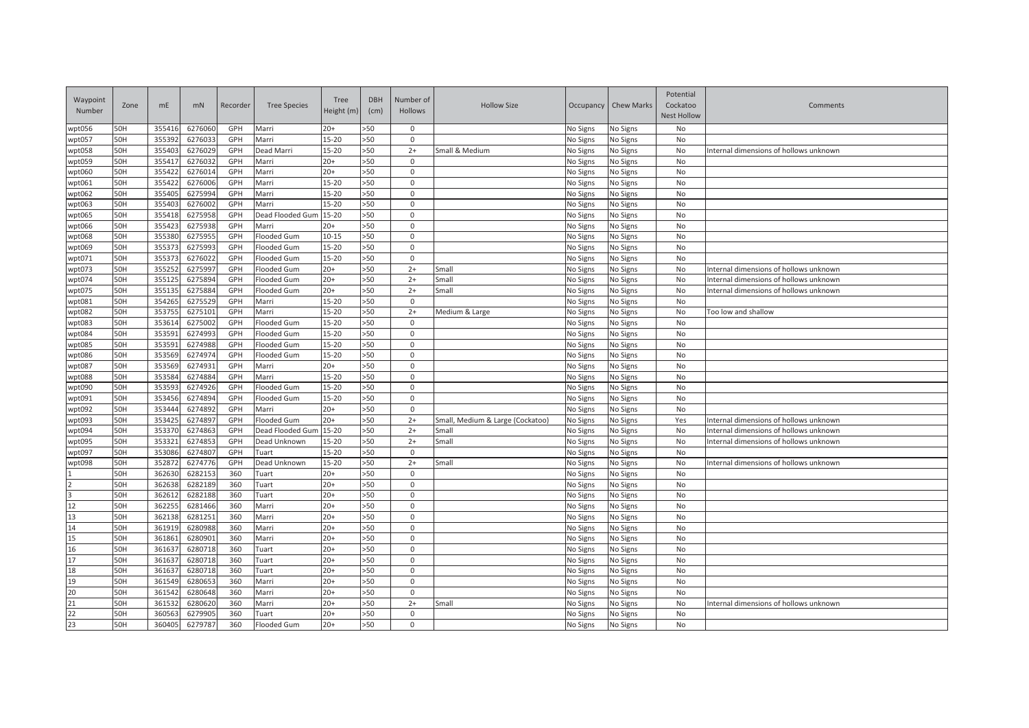| Waypoint<br>Number                                  | Zone | mE     | mN      | Recorder | <b>Tree Species</b> | Tree<br>Height (m) | <b>DBH</b><br>(cm) | Number of<br>Hollows | <b>Hollow Size</b>               | Occupancy | <b>Chew Marks</b> | Potential<br>Cockatoo<br><b>Nest Hollow</b> | Comments                               |
|-----------------------------------------------------|------|--------|---------|----------|---------------------|--------------------|--------------------|----------------------|----------------------------------|-----------|-------------------|---------------------------------------------|----------------------------------------|
| wpt056                                              | 50H  | 35541  | 6276060 | GPH      | Marri               | $20+$              | >50                | $\mathbf 0$          |                                  | No Signs  | No Signs          | No                                          |                                        |
| wpt057                                              | 50H  | 35539  | 627603  | GPH      | Marri               | $15 - 20$          | >50                | 0                    |                                  | No Signs  | No Signs          | No                                          |                                        |
| wpt058                                              | 50H  | 35540  | 6276029 | GPH      | Dead Marri          | $15 - 20$          | >50                | $2+$                 | Small & Medium                   | No Signs  | No Signs          | No                                          | Internal dimensions of hollows unknown |
| wpt059                                              | 50H  | 35541  | 6276032 | GPH      | Marri               | $20+$              | >50                | $\mathbf 0$          |                                  | No Signs  | No Signs          | No                                          |                                        |
| wpt060                                              | 50H  | 35542  | 6276014 | GPH      | Marri               | $20+$              | >50                | $\mathbf 0$          |                                  | No Signs  | No Signs          | No                                          |                                        |
| wpt061                                              | 50H  | 35542  | 6276006 | GPH      | Marri               | $15 - 20$          | >50                | $\mathbf 0$          |                                  | No Signs  | No Signs          | No                                          |                                        |
| wpt062                                              | 50H  | 35540  | 6275994 | GPH      | Marri               | $15 - 20$          | >50                | $\mathbf 0$          |                                  | No Signs  | No Signs          | No                                          |                                        |
| wpt063                                              | 50H  | 35540  | 6276002 | GPH      | Marri               | $15 - 20$          | >50                | $\mathbf 0$          |                                  | No Signs  | No Signs          | No                                          |                                        |
| wpt065                                              | 50H  | 35541  | 6275958 | GPH      | Dead Flooded Gum    | $15 - 20$          | >50                | $\mathbf 0$          |                                  | No Signs  | No Signs          | No                                          |                                        |
| wpt066                                              | 50H  | 35542  | 6275938 | GPH      | Marri               | $20+$              | >50                | $\mathbf 0$          |                                  | No Signs  | No Signs          | No                                          |                                        |
| wpt068                                              | 50H  | 35538  | 6275955 | GPH      | Flooded Gum         | $10 - 15$          | >50                | $\mathbf 0$          |                                  | No Signs  | No Signs          | No                                          |                                        |
| wpt069                                              | 50H  | 35537  | 6275993 | GPH      | Flooded Gum         | $15 - 20$          | >50                | $\mathbf 0$          |                                  | No Signs  | No Signs          | No                                          |                                        |
| wpt071                                              | 50H  | 35537  | 6276022 | GPH      | Flooded Gum         | $15 - 20$          | >50                | $\mathbf 0$          |                                  | No Signs  | No Signs          | No                                          |                                        |
| wpt073                                              | 50H  | 35525  | 6275997 | GPH      | Flooded Gum         | $20+$              | >50                | $2+$                 | Small                            | No Signs  | No Signs          | No                                          | Internal dimensions of hollows unknown |
| wpt074                                              | 50H  | 35512  | 6275894 | GPH      | Flooded Gum         | $20+$              | >50                | $2+$                 | Small                            | No Signs  | No Signs          | No                                          | Internal dimensions of hollows unknown |
| wpt075                                              | 50H  | 35513  | 6275884 | GPH      | Flooded Gum         | $20+$              | >50                | $2+$                 | Small                            | No Signs  | No Signs          | No                                          | Internal dimensions of hollows unknown |
| wpt081                                              | 50H  | 35426  | 6275529 | GPH      | Marri               | $15 - 20$          | >50                | $\mathbf 0$          |                                  | No Signs  | No Signs          | No                                          |                                        |
| wpt082                                              | 50H  | 353755 | 6275101 | GPH      | Marri               | 15-20              | >50                | $2+$                 | Medium & Large                   | No Signs  | No Signs          | No                                          | Too low and shallow                    |
| wpt083                                              | 50H  | 35361  | 6275002 | GPH      | Flooded Gum         | 15-20              | >50                | $\mathbf 0$          |                                  | No Signs  | No Signs          | No                                          |                                        |
| wpt084                                              | 50H  | 353591 | 6274993 | GPH      | Flooded Gum         | $15 - 20$          | >50                | $\mathbf 0$          |                                  | No Signs  | No Signs          | No                                          |                                        |
| wpt085                                              | 50H  | 35359  | 6274988 | GPH      | Flooded Gum         | $15 - 20$          | >50                | $\mathbf 0$          |                                  | No Signs  | No Signs          | No                                          |                                        |
| wpt086                                              | 50H  | 353569 | 6274974 | GPH      | Flooded Gum         | $15 - 20$          | >50                | $\Omega$             |                                  | No Signs  | No Signs          | No                                          |                                        |
| wpt087                                              | 50H  | 353569 | 6274931 | GPH      | Marri               | $20+$              | >50                | $\mathbf 0$          |                                  | No Signs  | No Signs          | No                                          |                                        |
| wpt088                                              | 50H  | 35358  | 6274884 | GPH      | Marri               | 15-20              | >50                | $\mathbf 0$          |                                  | No Signs  | No Signs          | No                                          |                                        |
| wpt090                                              | 50H  | 35359  | 6274926 | GPH      | Flooded Gum         | $15 - 20$          | >50                | $\Omega$             |                                  | No Signs  | No Signs          | No                                          |                                        |
| wpt091                                              | 50H  | 353456 | 6274894 | GPH      | Flooded Gum         | $15 - 20$          | >50                | $\Omega$             |                                  | No Signs  | No Signs          | No                                          |                                        |
| wpt092                                              | 50H  | 35344  | 6274892 | GPH      | Marri               | $20+$              | >50                | $\mathbf 0$          |                                  | No Signs  | No Signs          | No                                          |                                        |
| wpt093                                              | 50H  | 35342  | 6274897 | GPH      | Flooded Gum         | $20+$              | >50                | $2+$                 | Small, Medium & Large (Cockatoo) | No Signs  | No Signs          | Yes                                         | Internal dimensions of hollows unknown |
| wpt094                                              | 50H  | 35337  | 6274863 | GPH      | Dead Flooded Gum    | $15 - 20$          | >50                | $2+$                 | Small                            | No Signs  | No Signs          | No                                          | Internal dimensions of hollows unknown |
| wpt095                                              | 50H  | 35332  | 6274853 | GPH      | Dead Unknown        | $15 - 20$          | >50                | $2+$                 | Small                            | No Signs  | No Signs          | No                                          | Internal dimensions of hollows unknown |
| wpt097                                              | 50H  | 35308  | 6274807 | GPH      | Tuart               | 15-20              | >50                | $\mathbf 0$          |                                  | No Signs  | No Signs          | No                                          |                                        |
| wpt098                                              | 50H  | 35287  | 6274776 | GPH      | Dead Unknown        | $15 - 20$          | >50                | $2+$                 | Small                            | No Signs  | No Signs          | No                                          | Internal dimensions of hollows unknown |
|                                                     | 50H  | 362630 | 6282153 | 360      | Tuart               | $20+$              | >50                | $\mathbf 0$          |                                  | No Signs  | No Signs          | No                                          |                                        |
| $\begin{array}{c}\n2 \\ 3 \\ 12\n\end{array}$       | 50H  | 36263  | 6282189 | 360      | Tuart               | $20+$              | >50                | $\mathbf 0$          |                                  | No Signs  | No Signs          | No                                          |                                        |
|                                                     | 50H  | 36261  | 6282188 | 360      | Tuart               | $20+$              | >50                | $\mathbf 0$          |                                  | No Signs  | No Signs          | No                                          |                                        |
|                                                     | 50H  | 36225  | 6281466 | 360      | Marri               | $20+$              | >50                | $\mathbf 0$          |                                  | No Signs  | No Signs          | No                                          |                                        |
| 13                                                  | 50H  | 36213  | 6281251 | 360      | Marri               | $20+$              | >50                | $\Omega$             |                                  | No Signs  | No Signs          | No                                          |                                        |
| 14                                                  | 50H  | 36191  | 6280988 | 360      | Marri               | $20+$              | >50                | $\Omega$             |                                  | No Signs  | No Signs          | No                                          |                                        |
| 15                                                  | 50H  | 36186  | 6280901 | 360      | Marri               | $20+$              | >50                | $\mathbf 0$          |                                  | No Signs  | No Signs          | No                                          |                                        |
| 16                                                  | 50H  | 361637 | 6280718 | 360      | Tuart               | $20+$              | >50                | $\mathbf 0$          |                                  | No Signs  | No Signs          | No                                          |                                        |
| 17                                                  | 50H  | 36163  | 6280718 | 360      | Tuart               | $20+$              | >50                | $\mathbf 0$          |                                  | No Signs  | No Signs          | No                                          |                                        |
| 18                                                  | 50H  | 36163  | 6280718 | 360      | Tuart               | $20+$              | >50                | $\mathbf 0$          |                                  | No Signs  | No Signs          | No                                          |                                        |
| 19                                                  | 50H  | 36154  | 6280653 | 360      | Marri               | $20+$              | >50                | $\mathbf 0$          |                                  | No Signs  | No Signs          | No                                          |                                        |
| $\overline{20}$                                     | 50H  | 36154  | 6280648 | 360      | Marri               | $20+$              | >50                | $\mathbf 0$          |                                  | No Signs  | No Signs          | No                                          |                                        |
| $\begin{array}{c}\n 21 \\  22 \\  23\n \end{array}$ | 50H  | 36153  | 6280620 | 360      | Marri               | $20+$              | >50                | $2+$                 | Small                            | No Signs  | No Signs          | No                                          | Internal dimensions of hollows unknown |
|                                                     | 50H  | 360563 | 6279905 | 360      | Tuart               | $20+$              | >50                | $\mathbf 0$          |                                  | No Signs  | No Signs          | No                                          |                                        |
|                                                     | 50H  | 360405 | 6279787 | 360      | Flooded Gum         | $20+$              | >50                | $\mathbf 0$          |                                  | No Signs  | No Signs          | No                                          |                                        |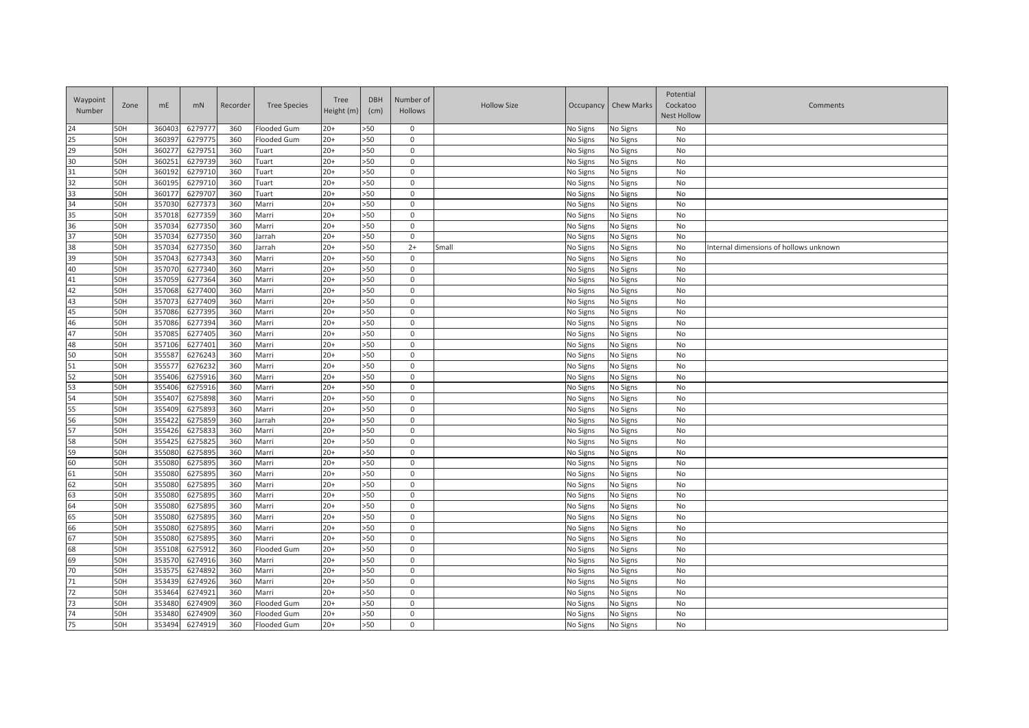| 24<br>50H<br>6279777<br>Flooded Gum<br>$20+$<br>>50<br>360403<br>360<br>$\mathbf 0$<br>No Signs<br>No Signs<br>No<br>25<br>50H<br>36039<br>6279775<br>$20+$<br>>50<br>360<br>Flooded Gum<br>0<br>No Signs<br>No Signs<br>No<br>29<br>50H<br>6279751<br>36027<br>360<br>$20+$<br>>50<br>$\Omega$<br>No Signs<br>No<br>Tuart<br>No Signs<br>$\overline{30}$<br>50H<br>36025<br>6279739<br>$20+$<br>>50<br>360<br>$\mathbf 0$<br>No Signs<br>No<br>Tuart<br>No Signs<br>31<br>6279710<br>50H<br>36019<br>360<br>Tuart<br>$20+$<br>>50<br>$\mathsf 0$<br>No<br>No Signs<br>No Signs<br>32<br>50H<br>36019<br>6279710<br>$20+$<br>>50<br>360<br>Tuart<br>$\mathsf 0$<br>No Signs<br>No Signs<br>No<br>33<br>50H<br>36017<br>6279707<br>$20+$<br>>50<br>360<br>Tuart<br>$\mathsf 0$<br>No Signs<br>No Signs<br>No<br>34<br>50H<br>35703<br>6277373<br>$20+$<br>>50<br>360<br>Marri<br>$\mathbf 0$<br>No Signs<br>No Signs<br>No<br>35<br>6277359<br>50H<br>35701<br>360<br>Marri<br>$20+$<br>>50<br>$\mathbf 0$<br>No Signs<br>No<br>No Signs<br>36<br>50H<br>35703<br>6277350<br>360<br>Marri<br>$20+$<br>>50<br>No<br>$\mathsf 0$<br>No Signs<br>No Signs<br>$\overline{37}$<br>50H<br>35703<br>6277350<br>360<br>Jarrah<br>$20+$<br>>50<br>$\mathsf 0$<br>No Signs<br>No<br>No Signs<br>38<br>50H<br>35703<br>6277350<br>360<br>$20+$<br>>50<br>No<br>Jarrah<br>$2+$<br>Small<br>No Signs<br>No Signs<br>Internal dimensions of hollows unknown<br>39<br>>50<br>50H<br>35704<br>6277343<br>360<br>Marri<br>$20+$<br>$\mathsf 0$<br>No Signs<br>No<br>No Signs<br>40<br>50H<br>6277340<br>>50<br>35707<br>360<br>Marri<br>$20+$<br>No<br>$\Omega$<br>No Signs<br>No Signs<br>41<br>50H<br>$20+$<br>>50<br>35705<br>6277364<br>360<br>Marri<br>$\mathbf 0$<br>No<br>No Signs<br>No Signs<br>42<br>50H<br>35706<br>6277400<br>360<br>Marri<br>$20+$<br>>50<br>$\mathbf 0$<br>No<br>No Signs<br>No Signs<br>43<br>50H<br>6277409<br>$20+$<br>35707<br>360<br>Marri<br>>50<br>$\mathbf 0$<br>No<br>No Signs<br>No Signs<br>45<br>50H<br>6277395<br>$20+$<br>357086<br>360<br>Marri<br>>50<br>$\mathsf 0$<br>No<br>No Signs<br>No Signs<br>46<br>50H<br>6277394<br>$20+$<br>>50<br>$\mathsf 0$<br>$\mathsf{No}$<br>357086<br>360<br>Marri<br>No Signs<br>No Signs<br>47<br>6277405<br>50H<br>357085<br>360<br>Marri<br>$20+$<br>>50<br>$\mathbf 0$<br>No<br>No Signs<br>No Signs<br>48<br>6277401<br>50H<br>35710<br>360<br>Marri<br>$20+$<br>>50<br>$\mathsf 0$<br>No<br>No Signs<br>No Signs<br>50<br>50H<br>35558<br>6276243<br>360<br>>50<br>No<br>Marri<br>$20+$<br>$\mathsf 0$<br>No Signs<br>No Signs<br>51<br>50H<br>35557<br>6276232<br>360<br>Marri<br>$20+$<br>>50<br>No<br>$\mathsf 0$<br>No Signs<br>No Signs<br>52<br>35540<br>6275916<br>360<br>>50<br>No<br>50H<br>Marri<br>$20+$<br>$\mathbf 0$<br>No Signs<br>No Signs<br>53<br>50H<br>35540<br>6275916<br>$20+$<br>>50<br>360<br>Marri<br>0<br>No Signs<br>No Signs<br>No<br>54<br>50H<br>35540<br>6275898<br>360<br>Marri<br>$20+$<br>>50<br>$\mathbf 0$<br>No<br>No Signs<br>No Signs<br>55<br>>50<br>50H<br>355409<br>6275893<br>$20+$<br>No<br>360<br>Marri<br>0<br>No Signs<br>No Signs<br>56<br>50H<br>35542<br>6275859<br>360<br>>50<br>No<br>Jarrah<br>$20+$<br>$\mathbf 0$<br>No Signs<br>No Signs<br>57<br>50H<br>355426<br>6275833<br>$20+$<br>>50<br>$\mathbf 0$<br>No<br>360<br>Marri<br>No Signs<br>No Signs<br>58<br>50H<br>6275825<br>>50<br>$\mathbf 0$<br>No<br>35542<br>360<br>Marri<br>$20+$<br>No Signs<br>No Signs<br>59<br>50H<br>35508<br>6275895<br>$20+$<br>>50<br>360<br>Marri<br>$\mathbf 0$<br>No Signs<br>No<br>No Signs<br>60<br>50H<br>627589<br>>50<br>35508<br>360<br>Marri<br>$20+$<br>$\mathbf 0$<br>No Signs<br>No<br>No Signs<br>61<br>50H<br>35508<br>627589<br>360<br>Marri<br>$20+$<br>>50<br>$\mathsf 0$<br>No<br>No Signs<br>No Signs<br>62<br>50H<br>35508<br>627589<br>Marri<br>$20+$<br>>50<br>360<br>$\mathbf 0$<br>No Signs<br>No Signs<br>No<br>63<br>50H<br>355080<br>6275895<br>$20+$<br>>50<br>No<br>360<br>Marri<br>$\mathbf 0$<br>No Signs<br>No Signs<br>64<br>50H<br>6275895<br>$20+$<br>>50<br>35508<br>360<br>Marri<br>$\mathbf 0$<br>No Signs<br>No<br>No Signs<br>65<br>50H<br>355080<br>6275895<br>360<br>Marri<br>$20+$<br>>50<br>No<br>$\mathbf 0$<br>No Signs<br>No Signs<br>66<br>$\mathsf{No}$<br>50H<br>355080<br>6275895<br>360<br>Marri<br>$20+$<br>>50<br>$\mathsf 0$<br>No Signs<br>No Signs<br>67<br>$\mathsf{No}$<br>50H<br>35508<br>6275895<br>360<br>$20+$<br>>50<br>Marri<br>$\mathbf 0$<br>No Signs<br>No Signs<br>68<br>50H<br>35510<br>6275912<br>360<br>Flooded Gum<br>$20+$<br>>50<br>$\mathbf 0$<br>No Signs<br>No<br>No Signs<br>69<br>50H<br>35357<br>6274916<br>360<br>$20+$<br>>50<br>No<br>Marri<br>$\mathbf 0$<br>No Signs<br>No Signs<br>70<br>50H<br>6274892<br>$20+$<br>>50<br>No<br>35357<br>360<br>Marri<br>$\mathbf 0$<br>No Signs<br>No Signs<br>$\overline{71}$<br>50H<br>353439<br>6274926<br>360<br>Marri<br>$20+$<br>>50<br>$\mathbf 0$<br>No<br>No Signs<br>No Signs<br>72<br>50H<br>$20+$<br>353464<br>6274921<br>360<br>Marri<br>>50<br>$\mathbf 0$<br>No<br>No Signs<br>No Signs<br>73<br>353480<br>6274909<br>50H<br>360<br>Flooded Gum<br>$20+$<br>>50<br>$\mathbf 0$<br>No<br>No Signs<br>No Signs<br>74<br>50H<br>6274909<br>$20+$<br>>50<br>$\mathsf 0$<br>No<br>353480<br>360<br>Flooded Gum<br>No Signs<br>No Signs<br>50H<br>360<br>$20+$<br>>50<br>$\mathsf 0$ | Waypoint<br>Number | Zone | mE     | mN      | Recorder | <b>Tree Species</b> | Tree<br>Height (m) | <b>DBH</b><br>(cm) | Number of<br>Hollows | <b>Hollow Size</b> | Occupancy | Chew Marks | Potential<br>Cockatoo<br><b>Nest Hollow</b> | Comments |
|------------------------------------------------------------------------------------------------------------------------------------------------------------------------------------------------------------------------------------------------------------------------------------------------------------------------------------------------------------------------------------------------------------------------------------------------------------------------------------------------------------------------------------------------------------------------------------------------------------------------------------------------------------------------------------------------------------------------------------------------------------------------------------------------------------------------------------------------------------------------------------------------------------------------------------------------------------------------------------------------------------------------------------------------------------------------------------------------------------------------------------------------------------------------------------------------------------------------------------------------------------------------------------------------------------------------------------------------------------------------------------------------------------------------------------------------------------------------------------------------------------------------------------------------------------------------------------------------------------------------------------------------------------------------------------------------------------------------------------------------------------------------------------------------------------------------------------------------------------------------------------------------------------------------------------------------------------------------------------------------------------------------------------------------------------------------------------------------------------------------------------------------------------------------------------------------------------------------------------------------------------------------------------------------------------------------------------------------------------------------------------------------------------------------------------------------------------------------------------------------------------------------------------------------------------------------------------------------------------------------------------------------------------------------------------------------------------------------------------------------------------------------------------------------------------------------------------------------------------------------------------------------------------------------------------------------------------------------------------------------------------------------------------------------------------------------------------------------------------------------------------------------------------------------------------------------------------------------------------------------------------------------------------------------------------------------------------------------------------------------------------------------------------------------------------------------------------------------------------------------------------------------------------------------------------------------------------------------------------------------------------------------------------------------------------------------------------------------------------------------------------------------------------------------------------------------------------------------------------------------------------------------------------------------------------------------------------------------------------------------------------------------------------------------------------------------------------------------------------------------------------------------------------------------------------------------------------------------------------------------------------------------------------------------------------------------------------------------------------------------------------------------------------------------------------------------------------------------------------------------------------------------------------------------------------------------------------------------------------------------------------------------------------------------------------------------------------------------------------------------------------------------------------------------------------------------------------------------------------------------------------------------------------------------------------------------------------------------------------------------------------------------------------------------------------------------------------------------------------------------------------------------------------------------------------------------------------------------------------------------------------------------------------------------------------------------------------------------------------------------------------------------------------------------------------------|--------------------|------|--------|---------|----------|---------------------|--------------------|--------------------|----------------------|--------------------|-----------|------------|---------------------------------------------|----------|
|                                                                                                                                                                                                                                                                                                                                                                                                                                                                                                                                                                                                                                                                                                                                                                                                                                                                                                                                                                                                                                                                                                                                                                                                                                                                                                                                                                                                                                                                                                                                                                                                                                                                                                                                                                                                                                                                                                                                                                                                                                                                                                                                                                                                                                                                                                                                                                                                                                                                                                                                                                                                                                                                                                                                                                                                                                                                                                                                                                                                                                                                                                                                                                                                                                                                                                                                                                                                                                                                                                                                                                                                                                                                                                                                                                                                                                                                                                                                                                                                                                                                                                                                                                                                                                                                                                                                                                                                                                                                                                                                                                                                                                                                                                                                                                                                                                                                                                                                                                                                                                                                                                                                                                                                                                                                                                                                                                                                                                          |                    |      |        |         |          |                     |                    |                    |                      |                    |           |            |                                             |          |
|                                                                                                                                                                                                                                                                                                                                                                                                                                                                                                                                                                                                                                                                                                                                                                                                                                                                                                                                                                                                                                                                                                                                                                                                                                                                                                                                                                                                                                                                                                                                                                                                                                                                                                                                                                                                                                                                                                                                                                                                                                                                                                                                                                                                                                                                                                                                                                                                                                                                                                                                                                                                                                                                                                                                                                                                                                                                                                                                                                                                                                                                                                                                                                                                                                                                                                                                                                                                                                                                                                                                                                                                                                                                                                                                                                                                                                                                                                                                                                                                                                                                                                                                                                                                                                                                                                                                                                                                                                                                                                                                                                                                                                                                                                                                                                                                                                                                                                                                                                                                                                                                                                                                                                                                                                                                                                                                                                                                                                          |                    |      |        |         |          |                     |                    |                    |                      |                    |           |            |                                             |          |
|                                                                                                                                                                                                                                                                                                                                                                                                                                                                                                                                                                                                                                                                                                                                                                                                                                                                                                                                                                                                                                                                                                                                                                                                                                                                                                                                                                                                                                                                                                                                                                                                                                                                                                                                                                                                                                                                                                                                                                                                                                                                                                                                                                                                                                                                                                                                                                                                                                                                                                                                                                                                                                                                                                                                                                                                                                                                                                                                                                                                                                                                                                                                                                                                                                                                                                                                                                                                                                                                                                                                                                                                                                                                                                                                                                                                                                                                                                                                                                                                                                                                                                                                                                                                                                                                                                                                                                                                                                                                                                                                                                                                                                                                                                                                                                                                                                                                                                                                                                                                                                                                                                                                                                                                                                                                                                                                                                                                                                          |                    |      |        |         |          |                     |                    |                    |                      |                    |           |            |                                             |          |
|                                                                                                                                                                                                                                                                                                                                                                                                                                                                                                                                                                                                                                                                                                                                                                                                                                                                                                                                                                                                                                                                                                                                                                                                                                                                                                                                                                                                                                                                                                                                                                                                                                                                                                                                                                                                                                                                                                                                                                                                                                                                                                                                                                                                                                                                                                                                                                                                                                                                                                                                                                                                                                                                                                                                                                                                                                                                                                                                                                                                                                                                                                                                                                                                                                                                                                                                                                                                                                                                                                                                                                                                                                                                                                                                                                                                                                                                                                                                                                                                                                                                                                                                                                                                                                                                                                                                                                                                                                                                                                                                                                                                                                                                                                                                                                                                                                                                                                                                                                                                                                                                                                                                                                                                                                                                                                                                                                                                                                          |                    |      |        |         |          |                     |                    |                    |                      |                    |           |            |                                             |          |
|                                                                                                                                                                                                                                                                                                                                                                                                                                                                                                                                                                                                                                                                                                                                                                                                                                                                                                                                                                                                                                                                                                                                                                                                                                                                                                                                                                                                                                                                                                                                                                                                                                                                                                                                                                                                                                                                                                                                                                                                                                                                                                                                                                                                                                                                                                                                                                                                                                                                                                                                                                                                                                                                                                                                                                                                                                                                                                                                                                                                                                                                                                                                                                                                                                                                                                                                                                                                                                                                                                                                                                                                                                                                                                                                                                                                                                                                                                                                                                                                                                                                                                                                                                                                                                                                                                                                                                                                                                                                                                                                                                                                                                                                                                                                                                                                                                                                                                                                                                                                                                                                                                                                                                                                                                                                                                                                                                                                                                          |                    |      |        |         |          |                     |                    |                    |                      |                    |           |            |                                             |          |
|                                                                                                                                                                                                                                                                                                                                                                                                                                                                                                                                                                                                                                                                                                                                                                                                                                                                                                                                                                                                                                                                                                                                                                                                                                                                                                                                                                                                                                                                                                                                                                                                                                                                                                                                                                                                                                                                                                                                                                                                                                                                                                                                                                                                                                                                                                                                                                                                                                                                                                                                                                                                                                                                                                                                                                                                                                                                                                                                                                                                                                                                                                                                                                                                                                                                                                                                                                                                                                                                                                                                                                                                                                                                                                                                                                                                                                                                                                                                                                                                                                                                                                                                                                                                                                                                                                                                                                                                                                                                                                                                                                                                                                                                                                                                                                                                                                                                                                                                                                                                                                                                                                                                                                                                                                                                                                                                                                                                                                          |                    |      |        |         |          |                     |                    |                    |                      |                    |           |            |                                             |          |
|                                                                                                                                                                                                                                                                                                                                                                                                                                                                                                                                                                                                                                                                                                                                                                                                                                                                                                                                                                                                                                                                                                                                                                                                                                                                                                                                                                                                                                                                                                                                                                                                                                                                                                                                                                                                                                                                                                                                                                                                                                                                                                                                                                                                                                                                                                                                                                                                                                                                                                                                                                                                                                                                                                                                                                                                                                                                                                                                                                                                                                                                                                                                                                                                                                                                                                                                                                                                                                                                                                                                                                                                                                                                                                                                                                                                                                                                                                                                                                                                                                                                                                                                                                                                                                                                                                                                                                                                                                                                                                                                                                                                                                                                                                                                                                                                                                                                                                                                                                                                                                                                                                                                                                                                                                                                                                                                                                                                                                          |                    |      |        |         |          |                     |                    |                    |                      |                    |           |            |                                             |          |
|                                                                                                                                                                                                                                                                                                                                                                                                                                                                                                                                                                                                                                                                                                                                                                                                                                                                                                                                                                                                                                                                                                                                                                                                                                                                                                                                                                                                                                                                                                                                                                                                                                                                                                                                                                                                                                                                                                                                                                                                                                                                                                                                                                                                                                                                                                                                                                                                                                                                                                                                                                                                                                                                                                                                                                                                                                                                                                                                                                                                                                                                                                                                                                                                                                                                                                                                                                                                                                                                                                                                                                                                                                                                                                                                                                                                                                                                                                                                                                                                                                                                                                                                                                                                                                                                                                                                                                                                                                                                                                                                                                                                                                                                                                                                                                                                                                                                                                                                                                                                                                                                                                                                                                                                                                                                                                                                                                                                                                          |                    |      |        |         |          |                     |                    |                    |                      |                    |           |            |                                             |          |
|                                                                                                                                                                                                                                                                                                                                                                                                                                                                                                                                                                                                                                                                                                                                                                                                                                                                                                                                                                                                                                                                                                                                                                                                                                                                                                                                                                                                                                                                                                                                                                                                                                                                                                                                                                                                                                                                                                                                                                                                                                                                                                                                                                                                                                                                                                                                                                                                                                                                                                                                                                                                                                                                                                                                                                                                                                                                                                                                                                                                                                                                                                                                                                                                                                                                                                                                                                                                                                                                                                                                                                                                                                                                                                                                                                                                                                                                                                                                                                                                                                                                                                                                                                                                                                                                                                                                                                                                                                                                                                                                                                                                                                                                                                                                                                                                                                                                                                                                                                                                                                                                                                                                                                                                                                                                                                                                                                                                                                          |                    |      |        |         |          |                     |                    |                    |                      |                    |           |            |                                             |          |
|                                                                                                                                                                                                                                                                                                                                                                                                                                                                                                                                                                                                                                                                                                                                                                                                                                                                                                                                                                                                                                                                                                                                                                                                                                                                                                                                                                                                                                                                                                                                                                                                                                                                                                                                                                                                                                                                                                                                                                                                                                                                                                                                                                                                                                                                                                                                                                                                                                                                                                                                                                                                                                                                                                                                                                                                                                                                                                                                                                                                                                                                                                                                                                                                                                                                                                                                                                                                                                                                                                                                                                                                                                                                                                                                                                                                                                                                                                                                                                                                                                                                                                                                                                                                                                                                                                                                                                                                                                                                                                                                                                                                                                                                                                                                                                                                                                                                                                                                                                                                                                                                                                                                                                                                                                                                                                                                                                                                                                          |                    |      |        |         |          |                     |                    |                    |                      |                    |           |            |                                             |          |
|                                                                                                                                                                                                                                                                                                                                                                                                                                                                                                                                                                                                                                                                                                                                                                                                                                                                                                                                                                                                                                                                                                                                                                                                                                                                                                                                                                                                                                                                                                                                                                                                                                                                                                                                                                                                                                                                                                                                                                                                                                                                                                                                                                                                                                                                                                                                                                                                                                                                                                                                                                                                                                                                                                                                                                                                                                                                                                                                                                                                                                                                                                                                                                                                                                                                                                                                                                                                                                                                                                                                                                                                                                                                                                                                                                                                                                                                                                                                                                                                                                                                                                                                                                                                                                                                                                                                                                                                                                                                                                                                                                                                                                                                                                                                                                                                                                                                                                                                                                                                                                                                                                                                                                                                                                                                                                                                                                                                                                          |                    |      |        |         |          |                     |                    |                    |                      |                    |           |            |                                             |          |
|                                                                                                                                                                                                                                                                                                                                                                                                                                                                                                                                                                                                                                                                                                                                                                                                                                                                                                                                                                                                                                                                                                                                                                                                                                                                                                                                                                                                                                                                                                                                                                                                                                                                                                                                                                                                                                                                                                                                                                                                                                                                                                                                                                                                                                                                                                                                                                                                                                                                                                                                                                                                                                                                                                                                                                                                                                                                                                                                                                                                                                                                                                                                                                                                                                                                                                                                                                                                                                                                                                                                                                                                                                                                                                                                                                                                                                                                                                                                                                                                                                                                                                                                                                                                                                                                                                                                                                                                                                                                                                                                                                                                                                                                                                                                                                                                                                                                                                                                                                                                                                                                                                                                                                                                                                                                                                                                                                                                                                          |                    |      |        |         |          |                     |                    |                    |                      |                    |           |            |                                             |          |
|                                                                                                                                                                                                                                                                                                                                                                                                                                                                                                                                                                                                                                                                                                                                                                                                                                                                                                                                                                                                                                                                                                                                                                                                                                                                                                                                                                                                                                                                                                                                                                                                                                                                                                                                                                                                                                                                                                                                                                                                                                                                                                                                                                                                                                                                                                                                                                                                                                                                                                                                                                                                                                                                                                                                                                                                                                                                                                                                                                                                                                                                                                                                                                                                                                                                                                                                                                                                                                                                                                                                                                                                                                                                                                                                                                                                                                                                                                                                                                                                                                                                                                                                                                                                                                                                                                                                                                                                                                                                                                                                                                                                                                                                                                                                                                                                                                                                                                                                                                                                                                                                                                                                                                                                                                                                                                                                                                                                                                          |                    |      |        |         |          |                     |                    |                    |                      |                    |           |            |                                             |          |
|                                                                                                                                                                                                                                                                                                                                                                                                                                                                                                                                                                                                                                                                                                                                                                                                                                                                                                                                                                                                                                                                                                                                                                                                                                                                                                                                                                                                                                                                                                                                                                                                                                                                                                                                                                                                                                                                                                                                                                                                                                                                                                                                                                                                                                                                                                                                                                                                                                                                                                                                                                                                                                                                                                                                                                                                                                                                                                                                                                                                                                                                                                                                                                                                                                                                                                                                                                                                                                                                                                                                                                                                                                                                                                                                                                                                                                                                                                                                                                                                                                                                                                                                                                                                                                                                                                                                                                                                                                                                                                                                                                                                                                                                                                                                                                                                                                                                                                                                                                                                                                                                                                                                                                                                                                                                                                                                                                                                                                          |                    |      |        |         |          |                     |                    |                    |                      |                    |           |            |                                             |          |
|                                                                                                                                                                                                                                                                                                                                                                                                                                                                                                                                                                                                                                                                                                                                                                                                                                                                                                                                                                                                                                                                                                                                                                                                                                                                                                                                                                                                                                                                                                                                                                                                                                                                                                                                                                                                                                                                                                                                                                                                                                                                                                                                                                                                                                                                                                                                                                                                                                                                                                                                                                                                                                                                                                                                                                                                                                                                                                                                                                                                                                                                                                                                                                                                                                                                                                                                                                                                                                                                                                                                                                                                                                                                                                                                                                                                                                                                                                                                                                                                                                                                                                                                                                                                                                                                                                                                                                                                                                                                                                                                                                                                                                                                                                                                                                                                                                                                                                                                                                                                                                                                                                                                                                                                                                                                                                                                                                                                                                          |                    |      |        |         |          |                     |                    |                    |                      |                    |           |            |                                             |          |
|                                                                                                                                                                                                                                                                                                                                                                                                                                                                                                                                                                                                                                                                                                                                                                                                                                                                                                                                                                                                                                                                                                                                                                                                                                                                                                                                                                                                                                                                                                                                                                                                                                                                                                                                                                                                                                                                                                                                                                                                                                                                                                                                                                                                                                                                                                                                                                                                                                                                                                                                                                                                                                                                                                                                                                                                                                                                                                                                                                                                                                                                                                                                                                                                                                                                                                                                                                                                                                                                                                                                                                                                                                                                                                                                                                                                                                                                                                                                                                                                                                                                                                                                                                                                                                                                                                                                                                                                                                                                                                                                                                                                                                                                                                                                                                                                                                                                                                                                                                                                                                                                                                                                                                                                                                                                                                                                                                                                                                          |                    |      |        |         |          |                     |                    |                    |                      |                    |           |            |                                             |          |
|                                                                                                                                                                                                                                                                                                                                                                                                                                                                                                                                                                                                                                                                                                                                                                                                                                                                                                                                                                                                                                                                                                                                                                                                                                                                                                                                                                                                                                                                                                                                                                                                                                                                                                                                                                                                                                                                                                                                                                                                                                                                                                                                                                                                                                                                                                                                                                                                                                                                                                                                                                                                                                                                                                                                                                                                                                                                                                                                                                                                                                                                                                                                                                                                                                                                                                                                                                                                                                                                                                                                                                                                                                                                                                                                                                                                                                                                                                                                                                                                                                                                                                                                                                                                                                                                                                                                                                                                                                                                                                                                                                                                                                                                                                                                                                                                                                                                                                                                                                                                                                                                                                                                                                                                                                                                                                                                                                                                                                          |                    |      |        |         |          |                     |                    |                    |                      |                    |           |            |                                             |          |
|                                                                                                                                                                                                                                                                                                                                                                                                                                                                                                                                                                                                                                                                                                                                                                                                                                                                                                                                                                                                                                                                                                                                                                                                                                                                                                                                                                                                                                                                                                                                                                                                                                                                                                                                                                                                                                                                                                                                                                                                                                                                                                                                                                                                                                                                                                                                                                                                                                                                                                                                                                                                                                                                                                                                                                                                                                                                                                                                                                                                                                                                                                                                                                                                                                                                                                                                                                                                                                                                                                                                                                                                                                                                                                                                                                                                                                                                                                                                                                                                                                                                                                                                                                                                                                                                                                                                                                                                                                                                                                                                                                                                                                                                                                                                                                                                                                                                                                                                                                                                                                                                                                                                                                                                                                                                                                                                                                                                                                          |                    |      |        |         |          |                     |                    |                    |                      |                    |           |            |                                             |          |
|                                                                                                                                                                                                                                                                                                                                                                                                                                                                                                                                                                                                                                                                                                                                                                                                                                                                                                                                                                                                                                                                                                                                                                                                                                                                                                                                                                                                                                                                                                                                                                                                                                                                                                                                                                                                                                                                                                                                                                                                                                                                                                                                                                                                                                                                                                                                                                                                                                                                                                                                                                                                                                                                                                                                                                                                                                                                                                                                                                                                                                                                                                                                                                                                                                                                                                                                                                                                                                                                                                                                                                                                                                                                                                                                                                                                                                                                                                                                                                                                                                                                                                                                                                                                                                                                                                                                                                                                                                                                                                                                                                                                                                                                                                                                                                                                                                                                                                                                                                                                                                                                                                                                                                                                                                                                                                                                                                                                                                          |                    |      |        |         |          |                     |                    |                    |                      |                    |           |            |                                             |          |
|                                                                                                                                                                                                                                                                                                                                                                                                                                                                                                                                                                                                                                                                                                                                                                                                                                                                                                                                                                                                                                                                                                                                                                                                                                                                                                                                                                                                                                                                                                                                                                                                                                                                                                                                                                                                                                                                                                                                                                                                                                                                                                                                                                                                                                                                                                                                                                                                                                                                                                                                                                                                                                                                                                                                                                                                                                                                                                                                                                                                                                                                                                                                                                                                                                                                                                                                                                                                                                                                                                                                                                                                                                                                                                                                                                                                                                                                                                                                                                                                                                                                                                                                                                                                                                                                                                                                                                                                                                                                                                                                                                                                                                                                                                                                                                                                                                                                                                                                                                                                                                                                                                                                                                                                                                                                                                                                                                                                                                          |                    |      |        |         |          |                     |                    |                    |                      |                    |           |            |                                             |          |
|                                                                                                                                                                                                                                                                                                                                                                                                                                                                                                                                                                                                                                                                                                                                                                                                                                                                                                                                                                                                                                                                                                                                                                                                                                                                                                                                                                                                                                                                                                                                                                                                                                                                                                                                                                                                                                                                                                                                                                                                                                                                                                                                                                                                                                                                                                                                                                                                                                                                                                                                                                                                                                                                                                                                                                                                                                                                                                                                                                                                                                                                                                                                                                                                                                                                                                                                                                                                                                                                                                                                                                                                                                                                                                                                                                                                                                                                                                                                                                                                                                                                                                                                                                                                                                                                                                                                                                                                                                                                                                                                                                                                                                                                                                                                                                                                                                                                                                                                                                                                                                                                                                                                                                                                                                                                                                                                                                                                                                          |                    |      |        |         |          |                     |                    |                    |                      |                    |           |            |                                             |          |
|                                                                                                                                                                                                                                                                                                                                                                                                                                                                                                                                                                                                                                                                                                                                                                                                                                                                                                                                                                                                                                                                                                                                                                                                                                                                                                                                                                                                                                                                                                                                                                                                                                                                                                                                                                                                                                                                                                                                                                                                                                                                                                                                                                                                                                                                                                                                                                                                                                                                                                                                                                                                                                                                                                                                                                                                                                                                                                                                                                                                                                                                                                                                                                                                                                                                                                                                                                                                                                                                                                                                                                                                                                                                                                                                                                                                                                                                                                                                                                                                                                                                                                                                                                                                                                                                                                                                                                                                                                                                                                                                                                                                                                                                                                                                                                                                                                                                                                                                                                                                                                                                                                                                                                                                                                                                                                                                                                                                                                          |                    |      |        |         |          |                     |                    |                    |                      |                    |           |            |                                             |          |
|                                                                                                                                                                                                                                                                                                                                                                                                                                                                                                                                                                                                                                                                                                                                                                                                                                                                                                                                                                                                                                                                                                                                                                                                                                                                                                                                                                                                                                                                                                                                                                                                                                                                                                                                                                                                                                                                                                                                                                                                                                                                                                                                                                                                                                                                                                                                                                                                                                                                                                                                                                                                                                                                                                                                                                                                                                                                                                                                                                                                                                                                                                                                                                                                                                                                                                                                                                                                                                                                                                                                                                                                                                                                                                                                                                                                                                                                                                                                                                                                                                                                                                                                                                                                                                                                                                                                                                                                                                                                                                                                                                                                                                                                                                                                                                                                                                                                                                                                                                                                                                                                                                                                                                                                                                                                                                                                                                                                                                          |                    |      |        |         |          |                     |                    |                    |                      |                    |           |            |                                             |          |
|                                                                                                                                                                                                                                                                                                                                                                                                                                                                                                                                                                                                                                                                                                                                                                                                                                                                                                                                                                                                                                                                                                                                                                                                                                                                                                                                                                                                                                                                                                                                                                                                                                                                                                                                                                                                                                                                                                                                                                                                                                                                                                                                                                                                                                                                                                                                                                                                                                                                                                                                                                                                                                                                                                                                                                                                                                                                                                                                                                                                                                                                                                                                                                                                                                                                                                                                                                                                                                                                                                                                                                                                                                                                                                                                                                                                                                                                                                                                                                                                                                                                                                                                                                                                                                                                                                                                                                                                                                                                                                                                                                                                                                                                                                                                                                                                                                                                                                                                                                                                                                                                                                                                                                                                                                                                                                                                                                                                                                          |                    |      |        |         |          |                     |                    |                    |                      |                    |           |            |                                             |          |
|                                                                                                                                                                                                                                                                                                                                                                                                                                                                                                                                                                                                                                                                                                                                                                                                                                                                                                                                                                                                                                                                                                                                                                                                                                                                                                                                                                                                                                                                                                                                                                                                                                                                                                                                                                                                                                                                                                                                                                                                                                                                                                                                                                                                                                                                                                                                                                                                                                                                                                                                                                                                                                                                                                                                                                                                                                                                                                                                                                                                                                                                                                                                                                                                                                                                                                                                                                                                                                                                                                                                                                                                                                                                                                                                                                                                                                                                                                                                                                                                                                                                                                                                                                                                                                                                                                                                                                                                                                                                                                                                                                                                                                                                                                                                                                                                                                                                                                                                                                                                                                                                                                                                                                                                                                                                                                                                                                                                                                          |                    |      |        |         |          |                     |                    |                    |                      |                    |           |            |                                             |          |
|                                                                                                                                                                                                                                                                                                                                                                                                                                                                                                                                                                                                                                                                                                                                                                                                                                                                                                                                                                                                                                                                                                                                                                                                                                                                                                                                                                                                                                                                                                                                                                                                                                                                                                                                                                                                                                                                                                                                                                                                                                                                                                                                                                                                                                                                                                                                                                                                                                                                                                                                                                                                                                                                                                                                                                                                                                                                                                                                                                                                                                                                                                                                                                                                                                                                                                                                                                                                                                                                                                                                                                                                                                                                                                                                                                                                                                                                                                                                                                                                                                                                                                                                                                                                                                                                                                                                                                                                                                                                                                                                                                                                                                                                                                                                                                                                                                                                                                                                                                                                                                                                                                                                                                                                                                                                                                                                                                                                                                          |                    |      |        |         |          |                     |                    |                    |                      |                    |           |            |                                             |          |
|                                                                                                                                                                                                                                                                                                                                                                                                                                                                                                                                                                                                                                                                                                                                                                                                                                                                                                                                                                                                                                                                                                                                                                                                                                                                                                                                                                                                                                                                                                                                                                                                                                                                                                                                                                                                                                                                                                                                                                                                                                                                                                                                                                                                                                                                                                                                                                                                                                                                                                                                                                                                                                                                                                                                                                                                                                                                                                                                                                                                                                                                                                                                                                                                                                                                                                                                                                                                                                                                                                                                                                                                                                                                                                                                                                                                                                                                                                                                                                                                                                                                                                                                                                                                                                                                                                                                                                                                                                                                                                                                                                                                                                                                                                                                                                                                                                                                                                                                                                                                                                                                                                                                                                                                                                                                                                                                                                                                                                          |                    |      |        |         |          |                     |                    |                    |                      |                    |           |            |                                             |          |
|                                                                                                                                                                                                                                                                                                                                                                                                                                                                                                                                                                                                                                                                                                                                                                                                                                                                                                                                                                                                                                                                                                                                                                                                                                                                                                                                                                                                                                                                                                                                                                                                                                                                                                                                                                                                                                                                                                                                                                                                                                                                                                                                                                                                                                                                                                                                                                                                                                                                                                                                                                                                                                                                                                                                                                                                                                                                                                                                                                                                                                                                                                                                                                                                                                                                                                                                                                                                                                                                                                                                                                                                                                                                                                                                                                                                                                                                                                                                                                                                                                                                                                                                                                                                                                                                                                                                                                                                                                                                                                                                                                                                                                                                                                                                                                                                                                                                                                                                                                                                                                                                                                                                                                                                                                                                                                                                                                                                                                          |                    |      |        |         |          |                     |                    |                    |                      |                    |           |            |                                             |          |
|                                                                                                                                                                                                                                                                                                                                                                                                                                                                                                                                                                                                                                                                                                                                                                                                                                                                                                                                                                                                                                                                                                                                                                                                                                                                                                                                                                                                                                                                                                                                                                                                                                                                                                                                                                                                                                                                                                                                                                                                                                                                                                                                                                                                                                                                                                                                                                                                                                                                                                                                                                                                                                                                                                                                                                                                                                                                                                                                                                                                                                                                                                                                                                                                                                                                                                                                                                                                                                                                                                                                                                                                                                                                                                                                                                                                                                                                                                                                                                                                                                                                                                                                                                                                                                                                                                                                                                                                                                                                                                                                                                                                                                                                                                                                                                                                                                                                                                                                                                                                                                                                                                                                                                                                                                                                                                                                                                                                                                          |                    |      |        |         |          |                     |                    |                    |                      |                    |           |            |                                             |          |
|                                                                                                                                                                                                                                                                                                                                                                                                                                                                                                                                                                                                                                                                                                                                                                                                                                                                                                                                                                                                                                                                                                                                                                                                                                                                                                                                                                                                                                                                                                                                                                                                                                                                                                                                                                                                                                                                                                                                                                                                                                                                                                                                                                                                                                                                                                                                                                                                                                                                                                                                                                                                                                                                                                                                                                                                                                                                                                                                                                                                                                                                                                                                                                                                                                                                                                                                                                                                                                                                                                                                                                                                                                                                                                                                                                                                                                                                                                                                                                                                                                                                                                                                                                                                                                                                                                                                                                                                                                                                                                                                                                                                                                                                                                                                                                                                                                                                                                                                                                                                                                                                                                                                                                                                                                                                                                                                                                                                                                          |                    |      |        |         |          |                     |                    |                    |                      |                    |           |            |                                             |          |
|                                                                                                                                                                                                                                                                                                                                                                                                                                                                                                                                                                                                                                                                                                                                                                                                                                                                                                                                                                                                                                                                                                                                                                                                                                                                                                                                                                                                                                                                                                                                                                                                                                                                                                                                                                                                                                                                                                                                                                                                                                                                                                                                                                                                                                                                                                                                                                                                                                                                                                                                                                                                                                                                                                                                                                                                                                                                                                                                                                                                                                                                                                                                                                                                                                                                                                                                                                                                                                                                                                                                                                                                                                                                                                                                                                                                                                                                                                                                                                                                                                                                                                                                                                                                                                                                                                                                                                                                                                                                                                                                                                                                                                                                                                                                                                                                                                                                                                                                                                                                                                                                                                                                                                                                                                                                                                                                                                                                                                          |                    |      |        |         |          |                     |                    |                    |                      |                    |           |            |                                             |          |
|                                                                                                                                                                                                                                                                                                                                                                                                                                                                                                                                                                                                                                                                                                                                                                                                                                                                                                                                                                                                                                                                                                                                                                                                                                                                                                                                                                                                                                                                                                                                                                                                                                                                                                                                                                                                                                                                                                                                                                                                                                                                                                                                                                                                                                                                                                                                                                                                                                                                                                                                                                                                                                                                                                                                                                                                                                                                                                                                                                                                                                                                                                                                                                                                                                                                                                                                                                                                                                                                                                                                                                                                                                                                                                                                                                                                                                                                                                                                                                                                                                                                                                                                                                                                                                                                                                                                                                                                                                                                                                                                                                                                                                                                                                                                                                                                                                                                                                                                                                                                                                                                                                                                                                                                                                                                                                                                                                                                                                          |                    |      |        |         |          |                     |                    |                    |                      |                    |           |            |                                             |          |
|                                                                                                                                                                                                                                                                                                                                                                                                                                                                                                                                                                                                                                                                                                                                                                                                                                                                                                                                                                                                                                                                                                                                                                                                                                                                                                                                                                                                                                                                                                                                                                                                                                                                                                                                                                                                                                                                                                                                                                                                                                                                                                                                                                                                                                                                                                                                                                                                                                                                                                                                                                                                                                                                                                                                                                                                                                                                                                                                                                                                                                                                                                                                                                                                                                                                                                                                                                                                                                                                                                                                                                                                                                                                                                                                                                                                                                                                                                                                                                                                                                                                                                                                                                                                                                                                                                                                                                                                                                                                                                                                                                                                                                                                                                                                                                                                                                                                                                                                                                                                                                                                                                                                                                                                                                                                                                                                                                                                                                          |                    |      |        |         |          |                     |                    |                    |                      |                    |           |            |                                             |          |
|                                                                                                                                                                                                                                                                                                                                                                                                                                                                                                                                                                                                                                                                                                                                                                                                                                                                                                                                                                                                                                                                                                                                                                                                                                                                                                                                                                                                                                                                                                                                                                                                                                                                                                                                                                                                                                                                                                                                                                                                                                                                                                                                                                                                                                                                                                                                                                                                                                                                                                                                                                                                                                                                                                                                                                                                                                                                                                                                                                                                                                                                                                                                                                                                                                                                                                                                                                                                                                                                                                                                                                                                                                                                                                                                                                                                                                                                                                                                                                                                                                                                                                                                                                                                                                                                                                                                                                                                                                                                                                                                                                                                                                                                                                                                                                                                                                                                                                                                                                                                                                                                                                                                                                                                                                                                                                                                                                                                                                          |                    |      |        |         |          |                     |                    |                    |                      |                    |           |            |                                             |          |
|                                                                                                                                                                                                                                                                                                                                                                                                                                                                                                                                                                                                                                                                                                                                                                                                                                                                                                                                                                                                                                                                                                                                                                                                                                                                                                                                                                                                                                                                                                                                                                                                                                                                                                                                                                                                                                                                                                                                                                                                                                                                                                                                                                                                                                                                                                                                                                                                                                                                                                                                                                                                                                                                                                                                                                                                                                                                                                                                                                                                                                                                                                                                                                                                                                                                                                                                                                                                                                                                                                                                                                                                                                                                                                                                                                                                                                                                                                                                                                                                                                                                                                                                                                                                                                                                                                                                                                                                                                                                                                                                                                                                                                                                                                                                                                                                                                                                                                                                                                                                                                                                                                                                                                                                                                                                                                                                                                                                                                          |                    |      |        |         |          |                     |                    |                    |                      |                    |           |            |                                             |          |
|                                                                                                                                                                                                                                                                                                                                                                                                                                                                                                                                                                                                                                                                                                                                                                                                                                                                                                                                                                                                                                                                                                                                                                                                                                                                                                                                                                                                                                                                                                                                                                                                                                                                                                                                                                                                                                                                                                                                                                                                                                                                                                                                                                                                                                                                                                                                                                                                                                                                                                                                                                                                                                                                                                                                                                                                                                                                                                                                                                                                                                                                                                                                                                                                                                                                                                                                                                                                                                                                                                                                                                                                                                                                                                                                                                                                                                                                                                                                                                                                                                                                                                                                                                                                                                                                                                                                                                                                                                                                                                                                                                                                                                                                                                                                                                                                                                                                                                                                                                                                                                                                                                                                                                                                                                                                                                                                                                                                                                          |                    |      |        |         |          |                     |                    |                    |                      |                    |           |            |                                             |          |
|                                                                                                                                                                                                                                                                                                                                                                                                                                                                                                                                                                                                                                                                                                                                                                                                                                                                                                                                                                                                                                                                                                                                                                                                                                                                                                                                                                                                                                                                                                                                                                                                                                                                                                                                                                                                                                                                                                                                                                                                                                                                                                                                                                                                                                                                                                                                                                                                                                                                                                                                                                                                                                                                                                                                                                                                                                                                                                                                                                                                                                                                                                                                                                                                                                                                                                                                                                                                                                                                                                                                                                                                                                                                                                                                                                                                                                                                                                                                                                                                                                                                                                                                                                                                                                                                                                                                                                                                                                                                                                                                                                                                                                                                                                                                                                                                                                                                                                                                                                                                                                                                                                                                                                                                                                                                                                                                                                                                                                          |                    |      |        |         |          |                     |                    |                    |                      |                    |           |            |                                             |          |
|                                                                                                                                                                                                                                                                                                                                                                                                                                                                                                                                                                                                                                                                                                                                                                                                                                                                                                                                                                                                                                                                                                                                                                                                                                                                                                                                                                                                                                                                                                                                                                                                                                                                                                                                                                                                                                                                                                                                                                                                                                                                                                                                                                                                                                                                                                                                                                                                                                                                                                                                                                                                                                                                                                                                                                                                                                                                                                                                                                                                                                                                                                                                                                                                                                                                                                                                                                                                                                                                                                                                                                                                                                                                                                                                                                                                                                                                                                                                                                                                                                                                                                                                                                                                                                                                                                                                                                                                                                                                                                                                                                                                                                                                                                                                                                                                                                                                                                                                                                                                                                                                                                                                                                                                                                                                                                                                                                                                                                          |                    |      |        |         |          |                     |                    |                    |                      |                    |           |            |                                             |          |
|                                                                                                                                                                                                                                                                                                                                                                                                                                                                                                                                                                                                                                                                                                                                                                                                                                                                                                                                                                                                                                                                                                                                                                                                                                                                                                                                                                                                                                                                                                                                                                                                                                                                                                                                                                                                                                                                                                                                                                                                                                                                                                                                                                                                                                                                                                                                                                                                                                                                                                                                                                                                                                                                                                                                                                                                                                                                                                                                                                                                                                                                                                                                                                                                                                                                                                                                                                                                                                                                                                                                                                                                                                                                                                                                                                                                                                                                                                                                                                                                                                                                                                                                                                                                                                                                                                                                                                                                                                                                                                                                                                                                                                                                                                                                                                                                                                                                                                                                                                                                                                                                                                                                                                                                                                                                                                                                                                                                                                          |                    |      |        |         |          |                     |                    |                    |                      |                    |           |            |                                             |          |
|                                                                                                                                                                                                                                                                                                                                                                                                                                                                                                                                                                                                                                                                                                                                                                                                                                                                                                                                                                                                                                                                                                                                                                                                                                                                                                                                                                                                                                                                                                                                                                                                                                                                                                                                                                                                                                                                                                                                                                                                                                                                                                                                                                                                                                                                                                                                                                                                                                                                                                                                                                                                                                                                                                                                                                                                                                                                                                                                                                                                                                                                                                                                                                                                                                                                                                                                                                                                                                                                                                                                                                                                                                                                                                                                                                                                                                                                                                                                                                                                                                                                                                                                                                                                                                                                                                                                                                                                                                                                                                                                                                                                                                                                                                                                                                                                                                                                                                                                                                                                                                                                                                                                                                                                                                                                                                                                                                                                                                          |                    |      |        |         |          |                     |                    |                    |                      |                    |           |            |                                             |          |
|                                                                                                                                                                                                                                                                                                                                                                                                                                                                                                                                                                                                                                                                                                                                                                                                                                                                                                                                                                                                                                                                                                                                                                                                                                                                                                                                                                                                                                                                                                                                                                                                                                                                                                                                                                                                                                                                                                                                                                                                                                                                                                                                                                                                                                                                                                                                                                                                                                                                                                                                                                                                                                                                                                                                                                                                                                                                                                                                                                                                                                                                                                                                                                                                                                                                                                                                                                                                                                                                                                                                                                                                                                                                                                                                                                                                                                                                                                                                                                                                                                                                                                                                                                                                                                                                                                                                                                                                                                                                                                                                                                                                                                                                                                                                                                                                                                                                                                                                                                                                                                                                                                                                                                                                                                                                                                                                                                                                                                          |                    |      |        |         |          |                     |                    |                    |                      |                    |           |            |                                             |          |
|                                                                                                                                                                                                                                                                                                                                                                                                                                                                                                                                                                                                                                                                                                                                                                                                                                                                                                                                                                                                                                                                                                                                                                                                                                                                                                                                                                                                                                                                                                                                                                                                                                                                                                                                                                                                                                                                                                                                                                                                                                                                                                                                                                                                                                                                                                                                                                                                                                                                                                                                                                                                                                                                                                                                                                                                                                                                                                                                                                                                                                                                                                                                                                                                                                                                                                                                                                                                                                                                                                                                                                                                                                                                                                                                                                                                                                                                                                                                                                                                                                                                                                                                                                                                                                                                                                                                                                                                                                                                                                                                                                                                                                                                                                                                                                                                                                                                                                                                                                                                                                                                                                                                                                                                                                                                                                                                                                                                                                          |                    |      |        |         |          |                     |                    |                    |                      |                    |           |            |                                             |          |
|                                                                                                                                                                                                                                                                                                                                                                                                                                                                                                                                                                                                                                                                                                                                                                                                                                                                                                                                                                                                                                                                                                                                                                                                                                                                                                                                                                                                                                                                                                                                                                                                                                                                                                                                                                                                                                                                                                                                                                                                                                                                                                                                                                                                                                                                                                                                                                                                                                                                                                                                                                                                                                                                                                                                                                                                                                                                                                                                                                                                                                                                                                                                                                                                                                                                                                                                                                                                                                                                                                                                                                                                                                                                                                                                                                                                                                                                                                                                                                                                                                                                                                                                                                                                                                                                                                                                                                                                                                                                                                                                                                                                                                                                                                                                                                                                                                                                                                                                                                                                                                                                                                                                                                                                                                                                                                                                                                                                                                          |                    |      |        |         |          |                     |                    |                    |                      |                    |           |            |                                             |          |
|                                                                                                                                                                                                                                                                                                                                                                                                                                                                                                                                                                                                                                                                                                                                                                                                                                                                                                                                                                                                                                                                                                                                                                                                                                                                                                                                                                                                                                                                                                                                                                                                                                                                                                                                                                                                                                                                                                                                                                                                                                                                                                                                                                                                                                                                                                                                                                                                                                                                                                                                                                                                                                                                                                                                                                                                                                                                                                                                                                                                                                                                                                                                                                                                                                                                                                                                                                                                                                                                                                                                                                                                                                                                                                                                                                                                                                                                                                                                                                                                                                                                                                                                                                                                                                                                                                                                                                                                                                                                                                                                                                                                                                                                                                                                                                                                                                                                                                                                                                                                                                                                                                                                                                                                                                                                                                                                                                                                                                          |                    |      |        |         |          |                     |                    |                    |                      |                    |           |            |                                             |          |
|                                                                                                                                                                                                                                                                                                                                                                                                                                                                                                                                                                                                                                                                                                                                                                                                                                                                                                                                                                                                                                                                                                                                                                                                                                                                                                                                                                                                                                                                                                                                                                                                                                                                                                                                                                                                                                                                                                                                                                                                                                                                                                                                                                                                                                                                                                                                                                                                                                                                                                                                                                                                                                                                                                                                                                                                                                                                                                                                                                                                                                                                                                                                                                                                                                                                                                                                                                                                                                                                                                                                                                                                                                                                                                                                                                                                                                                                                                                                                                                                                                                                                                                                                                                                                                                                                                                                                                                                                                                                                                                                                                                                                                                                                                                                                                                                                                                                                                                                                                                                                                                                                                                                                                                                                                                                                                                                                                                                                                          |                    |      |        |         |          |                     |                    |                    |                      |                    |           |            |                                             |          |
|                                                                                                                                                                                                                                                                                                                                                                                                                                                                                                                                                                                                                                                                                                                                                                                                                                                                                                                                                                                                                                                                                                                                                                                                                                                                                                                                                                                                                                                                                                                                                                                                                                                                                                                                                                                                                                                                                                                                                                                                                                                                                                                                                                                                                                                                                                                                                                                                                                                                                                                                                                                                                                                                                                                                                                                                                                                                                                                                                                                                                                                                                                                                                                                                                                                                                                                                                                                                                                                                                                                                                                                                                                                                                                                                                                                                                                                                                                                                                                                                                                                                                                                                                                                                                                                                                                                                                                                                                                                                                                                                                                                                                                                                                                                                                                                                                                                                                                                                                                                                                                                                                                                                                                                                                                                                                                                                                                                                                                          |                    |      |        |         |          |                     |                    |                    |                      |                    |           |            |                                             |          |
|                                                                                                                                                                                                                                                                                                                                                                                                                                                                                                                                                                                                                                                                                                                                                                                                                                                                                                                                                                                                                                                                                                                                                                                                                                                                                                                                                                                                                                                                                                                                                                                                                                                                                                                                                                                                                                                                                                                                                                                                                                                                                                                                                                                                                                                                                                                                                                                                                                                                                                                                                                                                                                                                                                                                                                                                                                                                                                                                                                                                                                                                                                                                                                                                                                                                                                                                                                                                                                                                                                                                                                                                                                                                                                                                                                                                                                                                                                                                                                                                                                                                                                                                                                                                                                                                                                                                                                                                                                                                                                                                                                                                                                                                                                                                                                                                                                                                                                                                                                                                                                                                                                                                                                                                                                                                                                                                                                                                                                          | 75                 |      | 353494 | 6274919 |          | Flooded Gum         |                    |                    |                      |                    | No Signs  | No Signs   | No                                          |          |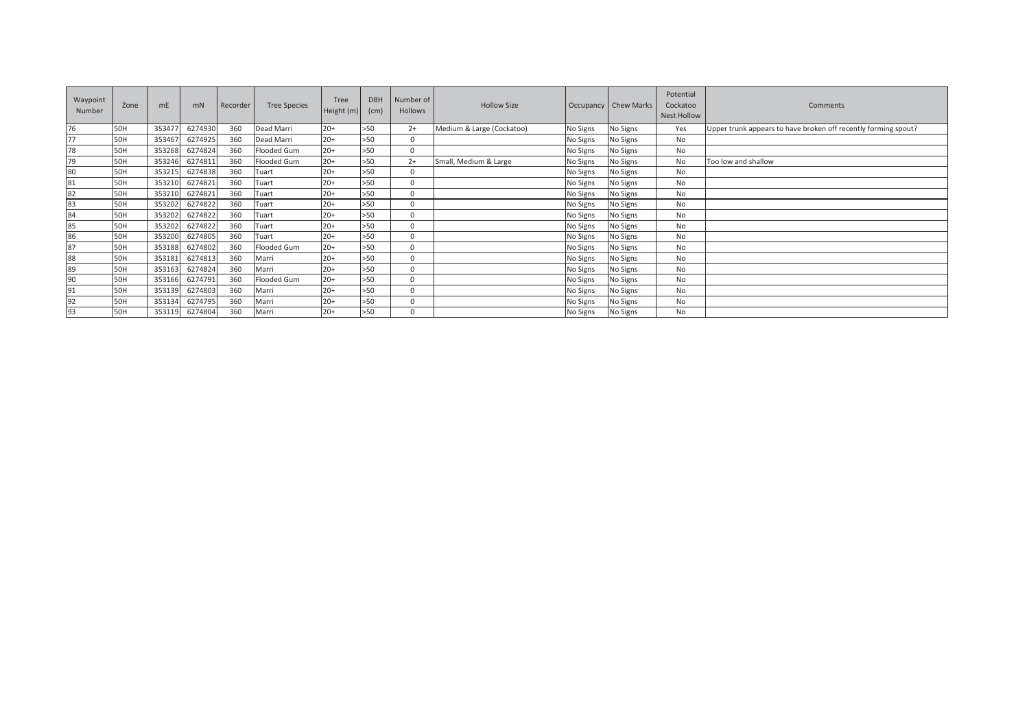| Waypoint<br>Number | Zone       | m <sub>E</sub> | mN      | Recorder | <b>Tree Species</b> | Tree<br>Height (m) | <b>DBH</b><br>(cm) | Number of<br>Hollows | <b>Hollow Size</b>        |          | Occupancy   Chew Marks | Potential<br>Cockatoo<br><b>Nest Hollow</b> | Comments                                                       |
|--------------------|------------|----------------|---------|----------|---------------------|--------------------|--------------------|----------------------|---------------------------|----------|------------------------|---------------------------------------------|----------------------------------------------------------------|
| 76                 | 50H        | 35347          | 6274930 | 360      | Dead Marri          | $20+$              | >50                | $2+$                 | Medium & Large (Cockatoo) | No Signs | No Signs               | Yes                                         | Upper trunk appears to have broken off recently forming spout? |
| 77                 | <b>50H</b> | 353467         | 6274925 | 360      | Dead Marri          | $20+$              | >50                | $\mathbf 0$          |                           | No Signs | No Signs               | No                                          |                                                                |
| 78                 | 50H        | 353268         | 6274824 | 360      | Flooded Gum         | $20+$              | >50                | $\Omega$             |                           | No Signs | No Signs               | No                                          |                                                                |
| 79                 | 50H        | 353246         | 6274811 | 360      | Flooded Gum         | $20+$              | >50                | $2+$                 | Small, Medium & Large     | No Signs | No Signs               | No                                          | Too low and shallow                                            |
| 80                 | 50H        | 353215         | 6274838 | 360      | Tuart               | $20+$              | >50                | $\Omega$             |                           | No Signs | No Signs               | No.                                         |                                                                |
| 81                 | <b>50H</b> | 353210         | 6274821 | 360      | Tuart               | $20+$              | >50                | $\Omega$             |                           | No Signs | No Signs               | No                                          |                                                                |
| 82                 | 50H        | 353210         | 6274821 | 360      | Tuart               | $20+$              | >50                | $\Omega$             |                           | No Signs | No Signs               | No                                          |                                                                |
| 83                 | 50H        | 353202         | 6274822 | 360      | Tuart               | $20+$              | >50                | $\mathbf 0$          |                           | No Signs | No Signs               | No                                          |                                                                |
| 84                 | 50H        | 353202         | 6274822 | 360      | Tuart               | $20+$              | >50                | $\Omega$             |                           | No Signs | No Signs               | No                                          |                                                                |
| 85                 | 50H        | 353202         | 6274822 | 360      | Tuart               | $20+$              | >50                | $\mathbf 0$          |                           | No Signs | No Signs               | No                                          |                                                                |
| 86                 | 50H        | 353200         | 6274805 | 360      | Tuart               | $20+$              | >50                | $\Omega$             |                           | No Signs | No Signs               | No                                          |                                                                |
| 87                 | 50H        | 353188         | 6274802 | 360      | Flooded Gum         | $20+$              | >50                | $\Omega$             |                           | No Signs | No Signs               | No                                          |                                                                |
| 88                 | 50H        | 353181         | 6274813 | 360      | Marri               | $20+$              | >50                | $\Omega$             |                           | No Signs | No Signs               | No                                          |                                                                |
| 89                 | 50H        | 353163         | 6274824 | 360      | Marri               | $20+$              | >50                | $\mathbf{0}$         |                           | No Signs | No Signs               | No                                          |                                                                |
| 90                 | 50H        | 353166         | 6274791 | 360      | Flooded Gum         | $20+$              | >50                | $\Omega$             |                           | No Signs | No Signs               | No                                          |                                                                |
| 91                 | 50H        | 353139         | 6274803 | 360      | Marri               | $20+$              | >50                | $\mathbf 0$          |                           | No Signs | No Signs               | No                                          |                                                                |
| 92                 | <b>50H</b> | 353134         | 6274795 | 360      | Marri               | $20+$              | $>50$              | $\Omega$             |                           | No Signs | No Signs               | No                                          |                                                                |
| 93                 | 50H        | 353119         | 6274804 | 360      | Marri               | $20+$              | >50                | $\Omega$             |                           | No Signs | No Signs               | No                                          |                                                                |